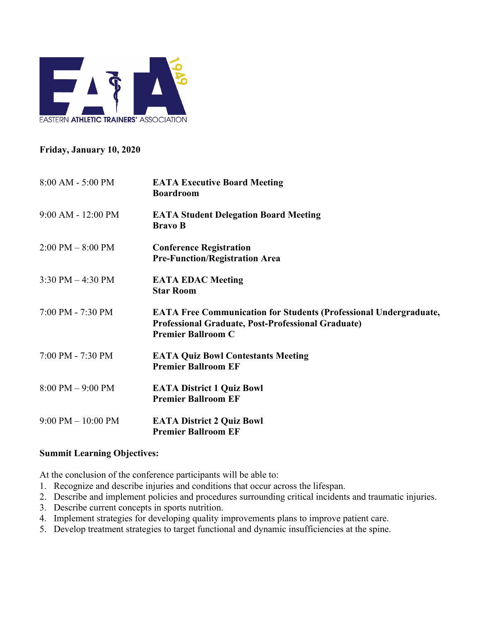

# **Friday, January 10, 2020**

| $8:00$ AM - 5:00 PM                 | <b>EATA Executive Board Meeting</b><br><b>Boardroom</b>                                                                                                            |
|-------------------------------------|--------------------------------------------------------------------------------------------------------------------------------------------------------------------|
| $9:00$ AM - 12:00 PM                | <b>EATA Student Delegation Board Meeting</b><br><b>Bravo B</b>                                                                                                     |
| $2:00 \text{ PM} - 8:00 \text{ PM}$ | <b>Conference Registration</b><br><b>Pre-Function/Registration Area</b>                                                                                            |
| 3:30 PM $-$ 4:30 PM                 | <b>EATA EDAC Meeting</b><br><b>Star Room</b>                                                                                                                       |
| 7:00 PM - 7:30 PM                   | <b>EATA Free Communication for Students (Professional Undergraduate,</b><br><b>Professional Graduate, Post-Professional Graduate)</b><br><b>Premier Ballroom C</b> |
| 7:00 PM - 7:30 PM                   | <b>EATA Quiz Bowl Contestants Meeting</b><br><b>Premier Ballroom EF</b>                                                                                            |
| $8:00 \text{ PM} - 9:00 \text{ PM}$ | <b>EATA District 1 Quiz Bowl</b><br><b>Premier Ballroom EF</b>                                                                                                     |
| $9:00$ PM $-10:00$ PM               | <b>EATA District 2 Quiz Bowl</b><br><b>Premier Ballroom EF</b>                                                                                                     |

# **Summit Learning Objectives:**

At the conclusion of the conference participants will be able to:

- 1. Recognize and describe injuries and conditions that occur across the lifespan.
- 2. Describe and implement policies and procedures surrounding critical incidents and traumatic injuries.
- 3. Describe current concepts in sports nutrition.
- 4. Implement strategies for developing quality improvements plans to improve patient care.
- 5. Develop treatment strategies to target functional and dynamic insufficiencies at the spine.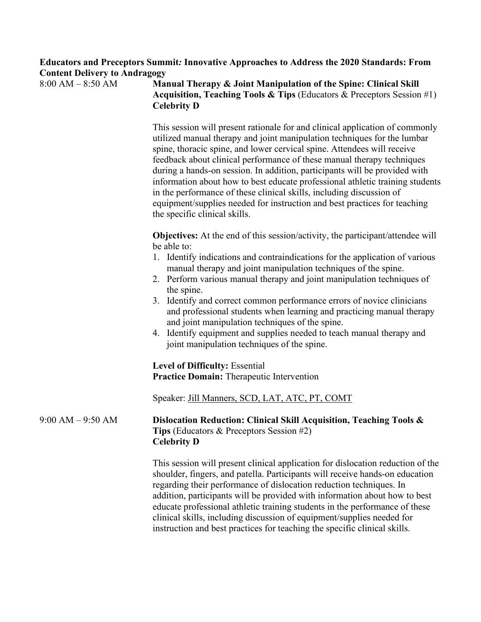| Educators and Preceptors Summit: Innovative Approaches to Address the 2020 Standards: From |  |
|--------------------------------------------------------------------------------------------|--|
| <b>Content Delivery to Andragogy</b>                                                       |  |

8:00 AM – 8:50 AM **Manual Therapy & Joint Manipulation of the Spine: Clinical Skill Acquisition, Teaching Tools & Tips** (Educators & Preceptors Session #1) **Celebrity D**

> This session will present rationale for and clinical application of commonly utilized manual therapy and joint manipulation techniques for the lumbar spine, thoracic spine, and lower cervical spine. Attendees will receive feedback about clinical performance of these manual therapy techniques during a hands-on session. In addition, participants will be provided with information about how to best educate professional athletic training students in the performance of these clinical skills, including discussion of equipment/supplies needed for instruction and best practices for teaching the specific clinical skills.

**Objectives:** At the end of this session/activity, the participant/attendee will be able to:

- 1. Identify indications and contraindications for the application of various manual therapy and joint manipulation techniques of the spine.
- 2. Perform various manual therapy and joint manipulation techniques of the spine.
- 3. Identify and correct common performance errors of novice clinicians and professional students when learning and practicing manual therapy and joint manipulation techniques of the spine.
- 4. Identify equipment and supplies needed to teach manual therapy and joint manipulation techniques of the spine.

**Level of Difficulty:** Essential **Practice Domain:** Therapeutic Intervention

Speaker: Jill Manners, SCD, LAT, ATC, PT, COMT

## 9:00 AM – 9:50 AM **Dislocation Reduction: Clinical Skill Acquisition, Teaching Tools & Tips** (Educators & Preceptors Session #2) **Celebrity D**

This session will present clinical application for dislocation reduction of the shoulder, fingers, and patella. Participants will receive hands-on education regarding their performance of dislocation reduction techniques. In addition, participants will be provided with information about how to best educate professional athletic training students in the performance of these clinical skills, including discussion of equipment/supplies needed for instruction and best practices for teaching the specific clinical skills.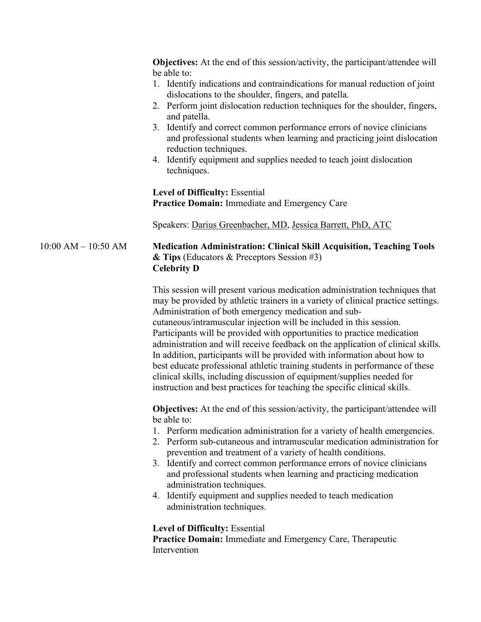**Objectives:** At the end of this session/activity, the participant/attendee will be able to:

- 1. Identify indications and contraindications for manual reduction of joint dislocations to the shoulder, fingers, and patella.
- 2. Perform joint dislocation reduction techniques for the shoulder, fingers, and patella.
- 3. Identify and correct common performance errors of novice clinicians and professional students when learning and practicing joint dislocation reduction techniques.
- 4. Identify equipment and supplies needed to teach joint dislocation techniques.

**Level of Difficulty:** Essential **Practice Domain:** Immediate and Emergency Care

Speakers: Darius Greenbacher, MD, Jessica Barrett, PhD, ATC

# 10:00 AM – 10:50 AM **Medication Administration: Clinical Skill Acquisition, Teaching Tools & Tips** (Educators & Preceptors Session #3) **Celebrity D**

This session will present various medication administration techniques that may be provided by athletic trainers in a variety of clinical practice settings. Administration of both emergency medication and subcutaneous/intramuscular injection will be included in this session. Participants will be provided with opportunities to practice medication administration and will receive feedback on the application of clinical skills. In addition, participants will be provided with information about how to best educate professional athletic training students in performance of these clinical skills, including discussion of equipment/supplies needed for instruction and best practices for teaching the specific clinical skills.

**Objectives:** At the end of this session/activity, the participant/attendee will be able to:

- 1. Perform medication administration for a variety of health emergencies.
- 2. Perform sub-cutaneous and intramuscular medication administration for prevention and treatment of a variety of health conditions.
- 3. Identify and correct common performance errors of novice clinicians and professional students when learning and practicing medication administration techniques.
- 4. Identify equipment and supplies needed to teach medication administration techniques.

# **Level of Difficulty:** Essential

**Practice Domain:** Immediate and Emergency Care, Therapeutic Intervention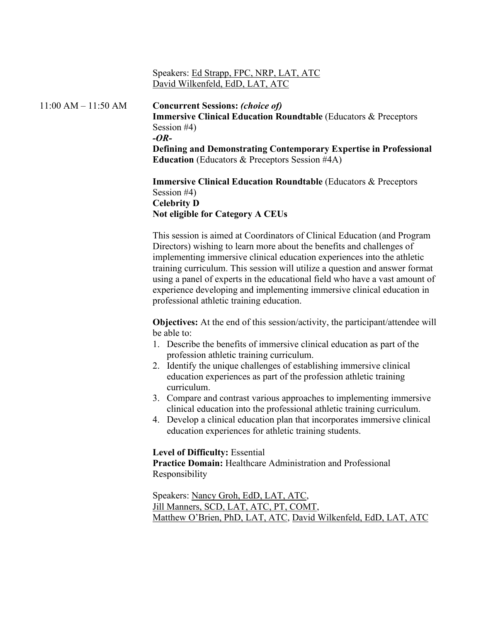# Speakers: Ed Strapp, FPC, NRP, LAT, ATC David Wilkenfeld, EdD, LAT, ATC

# 11:00 AM – 11:50 AM **Concurrent Sessions:** *(choice of)*

**Immersive Clinical Education Roundtable** (Educators & Preceptors Session #4) *-OR-***Defining and Demonstrating Contemporary Expertise in Professional Education** (Educators & Preceptors Session #4A)

**Immersive Clinical Education Roundtable** (Educators & Preceptors Session #4) **Celebrity D Not eligible for Category A CEUs**

This session is aimed at Coordinators of Clinical Education (and Program Directors) wishing to learn more about the benefits and challenges of implementing immersive clinical education experiences into the athletic training curriculum. This session will utilize a question and answer format using a panel of experts in the educational field who have a vast amount of experience developing and implementing immersive clinical education in professional athletic training education.

**Objectives:** At the end of this session/activity, the participant/attendee will be able to:

- 1. Describe the benefits of immersive clinical education as part of the profession athletic training curriculum.
- 2. Identify the unique challenges of establishing immersive clinical education experiences as part of the profession athletic training curriculum.
- 3. Compare and contrast various approaches to implementing immersive clinical education into the professional athletic training curriculum.
- 4. Develop a clinical education plan that incorporates immersive clinical education experiences for athletic training students.

### **Level of Difficulty:** Essential

**Practice Domain:** Healthcare Administration and Professional Responsibility

Speakers: Nancy Groh, EdD, LAT, ATC, Jill Manners, SCD, LAT, ATC, PT, COMT, Matthew O'Brien, PhD, LAT, ATC, David Wilkenfeld, EdD, LAT, ATC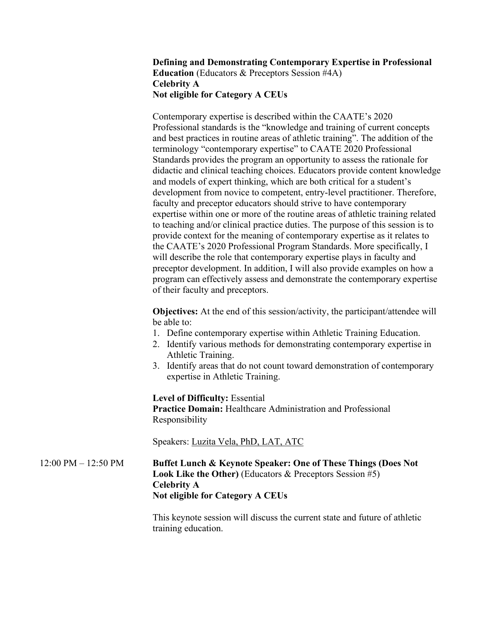# **Defining and Demonstrating Contemporary Expertise in Professional Education** (Educators & Preceptors Session #4A) **Celebrity A Not eligible for Category A CEUs**

Contemporary expertise is described within the CAATE's 2020 Professional standards is the "knowledge and training of current concepts and best practices in routine areas of athletic training". The addition of the terminology "contemporary expertise" to CAATE 2020 Professional Standards provides the program an opportunity to assess the rationale for didactic and clinical teaching choices. Educators provide content knowledge and models of expert thinking, which are both critical for a student's development from novice to competent, entry-level practitioner. Therefore, faculty and preceptor educators should strive to have contemporary expertise within one or more of the routine areas of athletic training related to teaching and/or clinical practice duties. The purpose of this session is to provide context for the meaning of contemporary expertise as it relates to the CAATE's 2020 Professional Program Standards. More specifically, I will describe the role that contemporary expertise plays in faculty and preceptor development. In addition, I will also provide examples on how a program can effectively assess and demonstrate the contemporary expertise of their faculty and preceptors.

**Objectives:** At the end of this session/activity, the participant/attendee will be able to:

- 1. Define contemporary expertise within Athletic Training Education.
- 2. Identify various methods for demonstrating contemporary expertise in Athletic Training.
- 3. Identify areas that do not count toward demonstration of contemporary expertise in Athletic Training.

**Level of Difficulty:** Essential **Practice Domain:** Healthcare Administration and Professional Responsibility

Speakers: Luzita Vela, PhD, LAT, ATC

12:00 PM – 12:50 PM **Buffet Lunch & Keynote Speaker: One of These Things (Does Not Look Like the Other)** (Educators & Preceptors Session #5) **Celebrity A Not eligible for Category A CEUs**

> This keynote session will discuss the current state and future of athletic training education.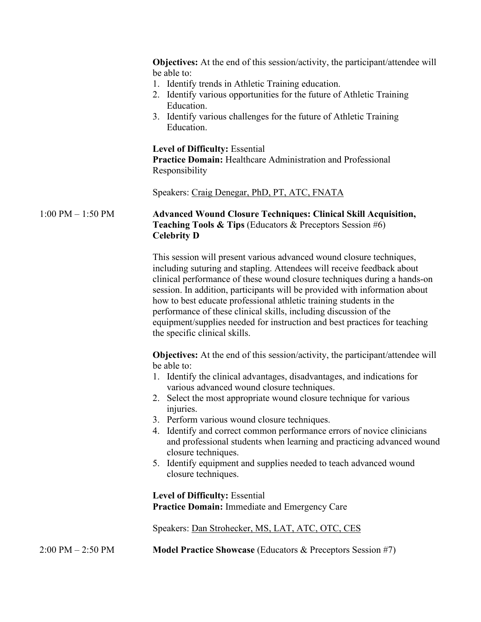|                       | <b>Objectives:</b> At the end of this session/activity, the participant/attendee will<br>be able to:<br>1. Identify trends in Athletic Training education.<br>2. Identify various opportunities for the future of Athletic Training<br>Education.<br>3. Identify various challenges for the future of Athletic Training<br>Education.                                                                                                                                                                                                                                                                                                  |
|-----------------------|----------------------------------------------------------------------------------------------------------------------------------------------------------------------------------------------------------------------------------------------------------------------------------------------------------------------------------------------------------------------------------------------------------------------------------------------------------------------------------------------------------------------------------------------------------------------------------------------------------------------------------------|
|                       | <b>Level of Difficulty: Essential</b><br><b>Practice Domain:</b> Healthcare Administration and Professional<br>Responsibility                                                                                                                                                                                                                                                                                                                                                                                                                                                                                                          |
|                       | Speakers: Craig Denegar, PhD, PT, ATC, FNATA                                                                                                                                                                                                                                                                                                                                                                                                                                                                                                                                                                                           |
| $1:00$ PM $- 1:50$ PM | <b>Advanced Wound Closure Techniques: Clinical Skill Acquisition,</b><br><b>Teaching Tools &amp; Tips</b> (Educators & Preceptors Session #6)<br><b>Celebrity D</b>                                                                                                                                                                                                                                                                                                                                                                                                                                                                    |
|                       | This session will present various advanced wound closure techniques,<br>including suturing and stapling. Attendees will receive feedback about<br>clinical performance of these wound closure techniques during a hands-on<br>session. In addition, participants will be provided with information about<br>how to best educate professional athletic training students in the<br>performance of these clinical skills, including discussion of the<br>equipment/supplies needed for instruction and best practices for teaching<br>the specific clinical skills.                                                                      |
|                       | <b>Objectives:</b> At the end of this session/activity, the participant/attendee will<br>be able to:<br>1. Identify the clinical advantages, disadvantages, and indications for<br>various advanced wound closure techniques.<br>2. Select the most appropriate wound closure technique for various<br>injuries.<br>3. Perform various wound closure techniques.<br>4. Identify and correct common performance errors of novice clinicians<br>and professional students when learning and practicing advanced wound<br>closure techniques.<br>5. Identify equipment and supplies needed to teach advanced wound<br>closure techniques. |
|                       | <b>Level of Difficulty: Essential</b><br>Practice Domain: Immediate and Emergency Care                                                                                                                                                                                                                                                                                                                                                                                                                                                                                                                                                 |
|                       | Speakers: Dan Strohecker, MS, LAT, ATC, OTC, CES                                                                                                                                                                                                                                                                                                                                                                                                                                                                                                                                                                                       |
| 2:00 PM – 2:50 PM     | <b>Model Practice Showcase</b> (Educators & Preceptors Session #7)                                                                                                                                                                                                                                                                                                                                                                                                                                                                                                                                                                     |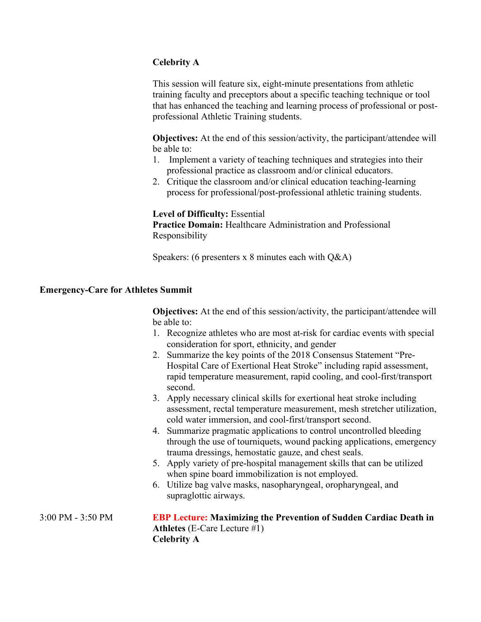# **Celebrity A**

This session will feature six, eight-minute presentations from athletic training faculty and preceptors about a specific teaching technique or tool that has enhanced the teaching and learning process of professional or postprofessional Athletic Training students.

**Objectives:** At the end of this session/activity, the participant/attendee will be able to:

- 1. Implement a variety of teaching techniques and strategies into their professional practice as classroom and/or clinical educators.
- 2. Critique the classroom and/or clinical education teaching-learning process for professional/post-professional athletic training students.

**Level of Difficulty:** Essential

**Practice Domain:** Healthcare Administration and Professional Responsibility

Speakers: (6 presenters x 8 minutes each with Q&A)

# **Emergency-Care for Athletes Summit**

**Objectives:** At the end of this session/activity, the participant/attendee will be able to:

- 1. Recognize athletes who are most at-risk for cardiac events with special consideration for sport, ethnicity, and gender
- 2. Summarize the key points of the 2018 Consensus Statement "Pre-Hospital Care of Exertional Heat Stroke" including rapid assessment, rapid temperature measurement, rapid cooling, and cool-first/transport second.
- 3. Apply necessary clinical skills for exertional heat stroke including assessment, rectal temperature measurement, mesh stretcher utilization, cold water immersion, and cool-first/transport second.
- 4. Summarize pragmatic applications to control uncontrolled bleeding through the use of tourniquets, wound packing applications, emergency trauma dressings, hemostatic gauze, and chest seals.
- 5. Apply variety of pre-hospital management skills that can be utilized when spine board immobilization is not employed.
- 6. Utilize bag valve masks, nasopharyngeal, oropharyngeal, and supraglottic airways.

3:00 PM - 3:50 PM **EBP Lecture: Maximizing the Prevention of Sudden Cardiac Death in Athletes** (E-Care Lecture #1) **Celebrity A**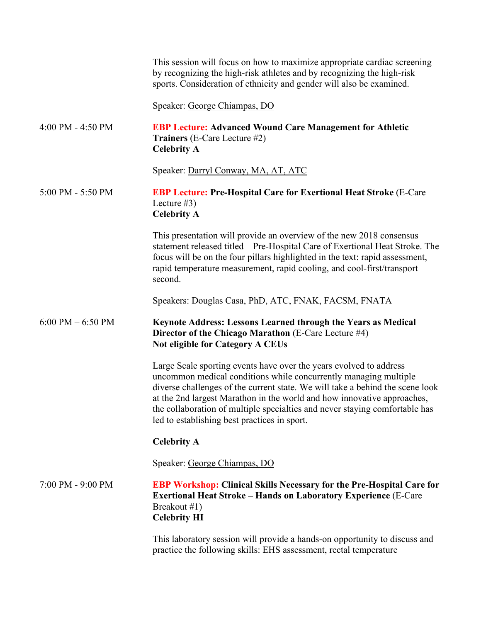|                      | This session will focus on how to maximize appropriate cardiac screening<br>by recognizing the high-risk athletes and by recognizing the high-risk<br>sports. Consideration of ethnicity and gender will also be examined.                                                                                                                                                                                                        |
|----------------------|-----------------------------------------------------------------------------------------------------------------------------------------------------------------------------------------------------------------------------------------------------------------------------------------------------------------------------------------------------------------------------------------------------------------------------------|
|                      | Speaker: George Chiampas, DO                                                                                                                                                                                                                                                                                                                                                                                                      |
| 4:00 PM - 4:50 PM    | <b>EBP Lecture: Advanced Wound Care Management for Athletic</b><br><b>Trainers</b> (E-Care Lecture #2)<br><b>Celebrity A</b>                                                                                                                                                                                                                                                                                                      |
|                      | Speaker: Darryl Conway, MA, AT, ATC                                                                                                                                                                                                                                                                                                                                                                                               |
| 5:00 PM - 5:50 PM    | <b>EBP Lecture: Pre-Hospital Care for Exertional Heat Stroke (E-Care</b><br>Lecture $#3)$<br><b>Celebrity A</b>                                                                                                                                                                                                                                                                                                                   |
|                      | This presentation will provide an overview of the new 2018 consensus<br>statement released titled – Pre-Hospital Care of Exertional Heat Stroke. The<br>focus will be on the four pillars highlighted in the text: rapid assessment,<br>rapid temperature measurement, rapid cooling, and cool-first/transport<br>second.                                                                                                         |
|                      | Speakers: Douglas Casa, PhD, ATC, FNAK, FACSM, FNATA                                                                                                                                                                                                                                                                                                                                                                              |
| $6:00$ PM $-6:50$ PM | Keynote Address: Lessons Learned through the Years as Medical<br>Director of the Chicago Marathon (E-Care Lecture #4)<br><b>Not eligible for Category A CEUs</b>                                                                                                                                                                                                                                                                  |
|                      | Large Scale sporting events have over the years evolved to address<br>uncommon medical conditions while concurrently managing multiple<br>diverse challenges of the current state. We will take a behind the scene look<br>at the 2nd largest Marathon in the world and how innovative approaches,<br>the collaboration of multiple specialties and never staying comfortable has<br>led to establishing best practices in sport. |
|                      | <b>Celebrity A</b>                                                                                                                                                                                                                                                                                                                                                                                                                |
|                      | Speaker: George Chiampas, DO                                                                                                                                                                                                                                                                                                                                                                                                      |
| 7:00 PM - 9:00 PM    | <b>EBP Workshop: Clinical Skills Necessary for the Pre-Hospital Care for</b><br><b>Exertional Heat Stroke - Hands on Laboratory Experience (E-Care</b><br>Breakout #1)<br><b>Celebrity HI</b>                                                                                                                                                                                                                                     |
|                      | This laboratory session will provide a hands-on opportunity to discuss and<br>practice the following skills: EHS assessment, rectal temperature                                                                                                                                                                                                                                                                                   |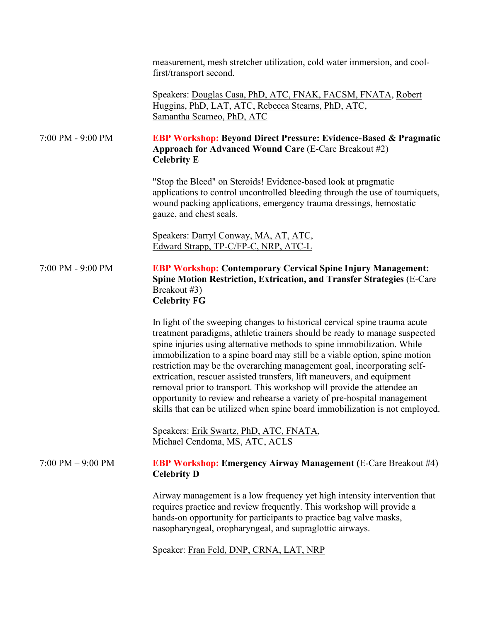measurement, mesh stretcher utilization, cold water immersion, and coolfirst/transport second.

Speakers: Douglas Casa, PhD, ATC, FNAK, FACSM, FNATA, Robert Huggins, PhD, LAT, ATC, Rebecca Stearns, PhD, ATC, Samantha Scarneo, PhD, ATC

# 7:00 PM - 9:00 PM **EBP Workshop: Beyond Direct Pressure: Evidence-Based & Pragmatic Approach for Advanced Wound Care** (E-Care Breakout #2) **Celebrity E**

"Stop the Bleed" on Steroids! Evidence-based look at pragmatic applications to control uncontrolled bleeding through the use of tourniquets, wound packing applications, emergency trauma dressings, hemostatic gauze, and chest seals.

Speakers: Darryl Conway, MA, AT, ATC, Edward Strapp, TP-C/FP-C, NRP, ATC-L

# 7:00 PM - 9:00 PM **EBP Workshop: Contemporary Cervical Spine Injury Management: Spine Motion Restriction, Extrication, and Transfer Strategies** (E-Care Breakout #3) **Celebrity FG**

In light of the sweeping changes to historical cervical spine trauma acute treatment paradigms, athletic trainers should be ready to manage suspected spine injuries using alternative methods to spine immobilization. While immobilization to a spine board may still be a viable option, spine motion restriction may be the overarching management goal, incorporating selfextrication, rescuer assisted transfers, lift maneuvers, and equipment removal prior to transport. This workshop will provide the attendee an opportunity to review and rehearse a variety of pre-hospital management skills that can be utilized when spine board immobilization is not employed.

Speakers: Erik Swartz, PhD, ATC, FNATA, Michael Cendoma, MS, ATC, ACLS

# 7:00 PM – 9:00 PM **EBP Workshop: Emergency Airway Management (**E-Care Breakout #4) **Celebrity D**

Airway management is a low frequency yet high intensity intervention that requires practice and review frequently. This workshop will provide a hands-on opportunity for participants to practice bag valve masks, nasopharyngeal, oropharyngeal, and supraglottic airways.

Speaker: Fran Feld, DNP, CRNA, LAT, NRP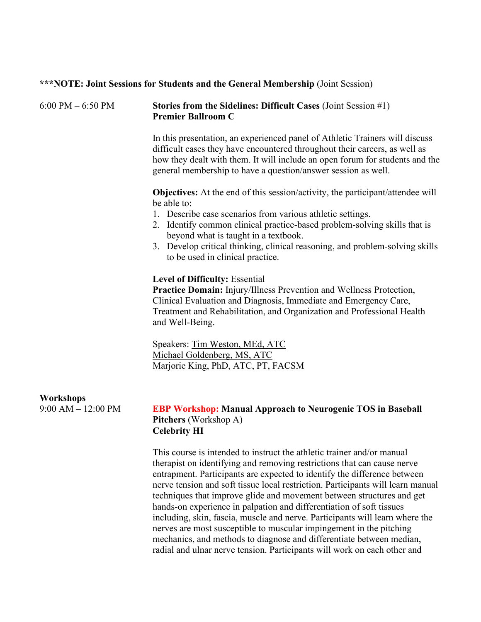| $6:00$ PM $-6:50$ PM | Stories from the Sidelines: Difficult Cases (Joint Session #1) |
|----------------------|----------------------------------------------------------------|

**\*\*\*NOTE: Joint Sessions for Students and the General Membership** (Joint Session)

**Premier Ballroom C**

In this presentation, an experienced panel of Athletic Trainers will discuss difficult cases they have encountered throughout their careers, as well as how they dealt with them. It will include an open forum for students and the general membership to have a question/answer session as well.

**Objectives:** At the end of this session/activity, the participant/attendee will be able to:

- 1. Describe case scenarios from various athletic settings.
- 2. Identify common clinical practice-based problem-solving skills that is beyond what is taught in a textbook.
- 3. Develop critical thinking, clinical reasoning, and problem-solving skills to be used in clinical practice.

### **Level of Difficulty:** Essential

**Practice Domain:** Injury/Illness Prevention and Wellness Protection, Clinical Evaluation and Diagnosis, Immediate and Emergency Care, Treatment and Rehabilitation, and Organization and Professional Health and Well-Being.

Speakers: Tim Weston, MEd, ATC Michael Goldenberg, MS, ATC Marjorie King, PhD, ATC, PT, FACSM

# **Workshops**

### 9:00 AM – 12:00 PM **EBP Workshop: Manual Approach to Neurogenic TOS in Baseball Pitchers** (Workshop A) **Celebrity HI**

This course is intended to instruct the athletic trainer and/or manual therapist on identifying and removing restrictions that can cause nerve entrapment. Participants are expected to identify the difference between nerve tension and soft tissue local restriction. Participants will learn manual techniques that improve glide and movement between structures and get hands-on experience in palpation and differentiation of soft tissues including, skin, fascia, muscle and nerve. Participants will learn where the nerves are most susceptible to muscular impingement in the pitching mechanics, and methods to diagnose and differentiate between median, radial and ulnar nerve tension. Participants will work on each other and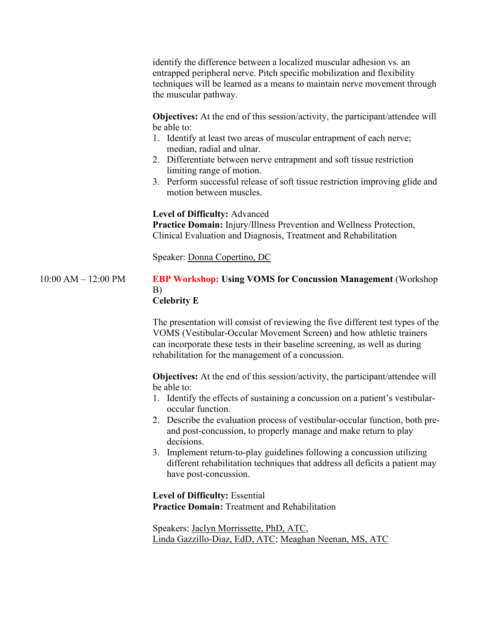identify the difference between a localized muscular adhesion vs. an entrapped peripheral nerve. Pitch specific mobilization and flexibility techniques will be learned as a means to maintain nerve movement through the muscular pathway.

**Objectives:** At the end of this session/activity, the participant/attendee will be able to:

- 1. Identify at least two areas of muscular entrapment of each nerve; median, radial and ulnar.
- 2. Differentiate between nerve entrapment and soft tissue restriction limiting range of motion.
- 3. Perform successful release of soft tissue restriction improving glide and motion between muscles.

**Level of Difficulty:** Advanced

**Practice Domain:** Injury/Illness Prevention and Wellness Protection, Clinical Evaluation and Diagnosis, Treatment and Rehabilitation

Speaker: Donna Copertino, DC

#### 10:00 AM – 12:00 PM **EBP Workshop: Using VOMS for Concussion Management** (Workshop B) **Celebrity E**

The presentation will consist of reviewing the five different test types of the VOMS (Vestibular-Occular Movement Screen) and how athletic trainers can incorporate these tests in their baseline screening, as well as during rehabilitation for the management of a concussion.

**Objectives:** At the end of this session/activity, the participant/attendee will be able to:

- 1. Identify the effects of sustaining a concussion on a patient's vestibularoccular function.
- 2. Describe the evaluation process of vestibular-occular function, both preand post-concussion, to properly manage and make return to play decisions.
- 3. Implement return-to-play guidelines following a concussion utilizing different rehabilitation techniques that address all deficits a patient may have post-concussion.

**Level of Difficulty:** Essential **Practice Domain:** Treatment and Rehabilitation

Speakers: Jaclyn Morrissette, PhD, ATC, Linda Gazzillo-Diaz, EdD, ATC; Meaghan Neenan, MS, ATC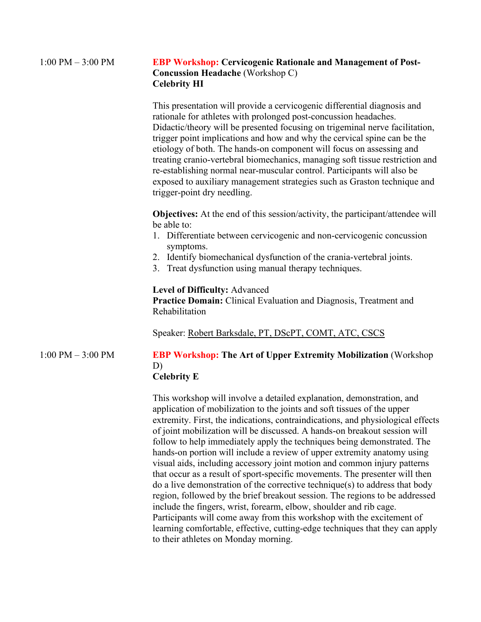| $1:00$ PM $-3:00$ PM | <b>EBP Workshop: Cervicogenic Rationale and Management of Post-</b> |
|----------------------|---------------------------------------------------------------------|
|                      | <b>Concussion Headache</b> (Workshop C)                             |
|                      | <b>Celebrity HI</b>                                                 |

This presentation will provide a cervicogenic differential diagnosis and rationale for athletes with prolonged post-concussion headaches. Didactic/theory will be presented focusing on trigeminal nerve facilitation, trigger point implications and how and why the cervical spine can be the etiology of both. The hands-on component will focus on assessing and treating cranio-vertebral biomechanics, managing soft tissue restriction and re-establishing normal near-muscular control. Participants will also be exposed to auxiliary management strategies such as Graston technique and trigger-point dry needling.

**Objectives:** At the end of this session/activity, the participant/attendee will be able to:

- 1. Differentiate between cervicogenic and non-cervicogenic concussion symptoms.
- 2. Identify biomechanical dysfunction of the crania-vertebral joints.
- 3. Treat dysfunction using manual therapy techniques.

### **Level of Difficulty:** Advanced

**Practice Domain:** Clinical Evaluation and Diagnosis, Treatment and Rehabilitation

Speaker: Robert Barksdale, PT, DScPT, COMT, ATC, CSCS

# 1:00 PM – 3:00 PM **EBP Workshop: The Art of Upper Extremity Mobilization** (Workshop D) **Celebrity E**

This workshop will involve a detailed explanation, demonstration, and application of mobilization to the joints and soft tissues of the upper extremity. First, the indications, contraindications, and physiological effects of joint mobilization will be discussed. A hands-on breakout session will follow to help immediately apply the techniques being demonstrated. The hands-on portion will include a review of upper extremity anatomy using visual aids, including accessory joint motion and common injury patterns that occur as a result of sport-specific movements. The presenter will then do a live demonstration of the corrective technique(s) to address that body region, followed by the brief breakout session. The regions to be addressed include the fingers, wrist, forearm, elbow, shoulder and rib cage. Participants will come away from this workshop with the excitement of learning comfortable, effective, cutting-edge techniques that they can apply to their athletes on Monday morning.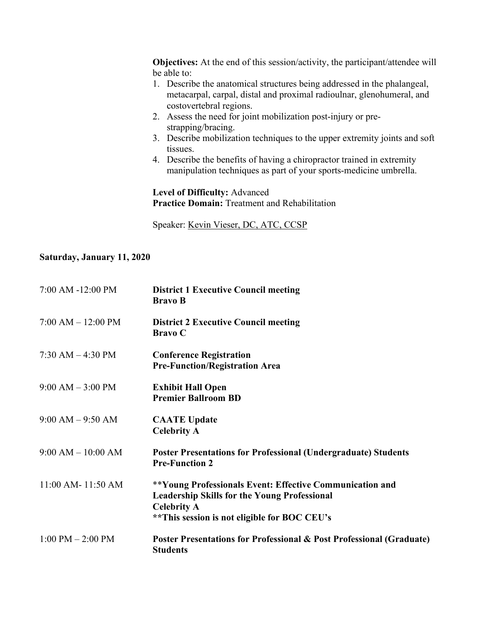**Objectives:** At the end of this session/activity, the participant/attendee will be able to:

- 1. Describe the anatomical structures being addressed in the phalangeal, metacarpal, carpal, distal and proximal radioulnar, glenohumeral, and costovertebral regions.
- 2. Assess the need for joint mobilization post-injury or prestrapping/bracing.
- 3. Describe mobilization techniques to the upper extremity joints and soft tissues.
- 4. Describe the benefits of having a chiropractor trained in extremity manipulation techniques as part of your sports-medicine umbrella.

**Level of Difficulty:** Advanced **Practice Domain:** Treatment and Rehabilitation

Speaker: Kevin Vieser, DC, ATC, CCSP

# **Saturday, January 11, 2020**

| 7:00 AM -12:00 PM     | <b>District 1 Executive Council meeting</b><br><b>Bravo B</b>                                                                                                                          |
|-----------------------|----------------------------------------------------------------------------------------------------------------------------------------------------------------------------------------|
| $7:00 AM - 12:00 PM$  | <b>District 2 Executive Council meeting</b><br><b>Bravo</b> C                                                                                                                          |
| $7:30$ AM $-$ 4:30 PM | <b>Conference Registration</b><br><b>Pre-Function/Registration Area</b>                                                                                                                |
| $9:00$ AM $-3:00$ PM  | <b>Exhibit Hall Open</b><br><b>Premier Ballroom BD</b>                                                                                                                                 |
| $9:00$ AM $-9:50$ AM  | <b>CAATE Update</b><br><b>Celebrity A</b>                                                                                                                                              |
| $9:00 AM - 10:00 AM$  | <b>Poster Presentations for Professional (Undergraduate) Students</b><br><b>Pre-Function 2</b>                                                                                         |
| 11:00 AM-11:50 AM     | **Young Professionals Event: Effective Communication and<br><b>Leadership Skills for the Young Professional</b><br><b>Celebrity A</b><br>** This session is not eligible for BOC CEU's |
| $1:00$ PM $- 2:00$ PM | Poster Presentations for Professional & Post Professional (Graduate)<br><b>Students</b>                                                                                                |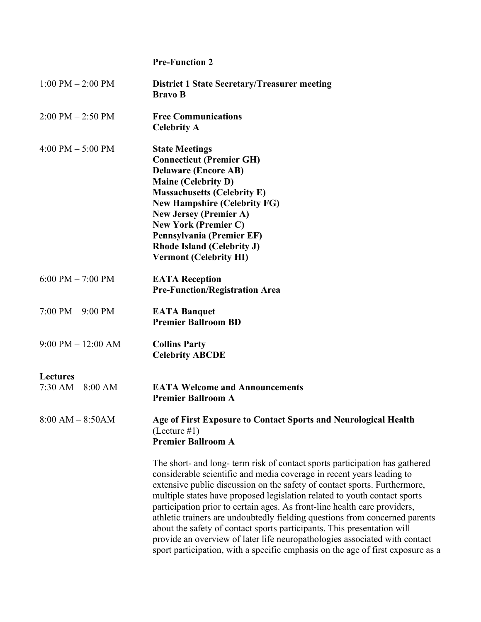# **Pre-Function 2**

| $1:00$ PM $- 2:00$ PM                   | <b>District 1 State Secretary/Treasurer meeting</b><br><b>Bravo B</b>                                                                                                                                                                                                                                                                                                                                                                                                                                                                                                                                                                                                                                                  |
|-----------------------------------------|------------------------------------------------------------------------------------------------------------------------------------------------------------------------------------------------------------------------------------------------------------------------------------------------------------------------------------------------------------------------------------------------------------------------------------------------------------------------------------------------------------------------------------------------------------------------------------------------------------------------------------------------------------------------------------------------------------------------|
| $2:00 \text{ PM} - 2:50 \text{ PM}$     | <b>Free Communications</b><br><b>Celebrity A</b>                                                                                                                                                                                                                                                                                                                                                                                                                                                                                                                                                                                                                                                                       |
| 4:00 PM $-$ 5:00 PM                     | <b>State Meetings</b><br><b>Connecticut (Premier GH)</b><br><b>Delaware (Encore AB)</b><br><b>Maine (Celebrity D)</b><br><b>Massachusetts (Celebrity E)</b><br><b>New Hampshire (Celebrity FG)</b><br><b>New Jersey (Premier A)</b><br><b>New York (Premier C)</b><br>Pennsylvania (Premier EF)<br><b>Rhode Island (Celebrity J)</b><br><b>Vermont (Celebrity HI)</b>                                                                                                                                                                                                                                                                                                                                                  |
| $6:00$ PM $- 7:00$ PM                   | <b>EATA Reception</b><br><b>Pre-Function/Registration Area</b>                                                                                                                                                                                                                                                                                                                                                                                                                                                                                                                                                                                                                                                         |
| $7:00$ PM $-9:00$ PM                    | <b>EATA Banquet</b><br><b>Premier Ballroom BD</b>                                                                                                                                                                                                                                                                                                                                                                                                                                                                                                                                                                                                                                                                      |
| $9:00$ PM $-12:00$ AM                   | <b>Collins Party</b><br><b>Celebrity ABCDE</b>                                                                                                                                                                                                                                                                                                                                                                                                                                                                                                                                                                                                                                                                         |
| <b>Lectures</b><br>$7:30$ AM $-8:00$ AM | <b>EATA Welcome and Announcements</b><br><b>Premier Ballroom A</b>                                                                                                                                                                                                                                                                                                                                                                                                                                                                                                                                                                                                                                                     |
| $8:00$ AM $- 8:50$ AM                   | Age of First Exposure to Contact Sports and Neurological Health<br>$($ Lecture #1 $)$<br><b>Premier Ballroom A</b>                                                                                                                                                                                                                                                                                                                                                                                                                                                                                                                                                                                                     |
|                                         | The short- and long- term risk of contact sports participation has gathered<br>considerable scientific and media coverage in recent years leading to<br>extensive public discussion on the safety of contact sports. Furthermore,<br>multiple states have proposed legislation related to youth contact sports<br>participation prior to certain ages. As front-line health care providers,<br>athletic trainers are undoubtedly fielding questions from concerned parents<br>about the safety of contact sports participants. This presentation will<br>provide an overview of later life neuropathologies associated with contact<br>sport participation, with a specific emphasis on the age of first exposure as a |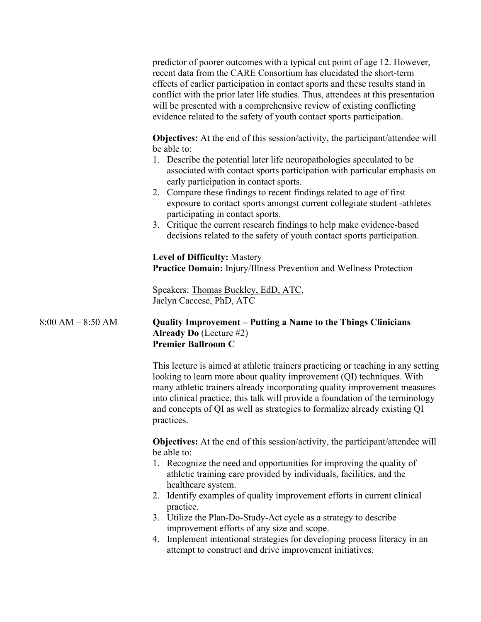predictor of poorer outcomes with a typical cut point of age 12. However, recent data from the CARE Consortium has elucidated the short-term effects of earlier participation in contact sports and these results stand in conflict with the prior later life studies. Thus, attendees at this presentation will be presented with a comprehensive review of existing conflicting evidence related to the safety of youth contact sports participation.

**Objectives:** At the end of this session/activity, the participant/attendee will be able to:

- 1. Describe the potential later life neuropathologies speculated to be associated with contact sports participation with particular emphasis on early participation in contact sports.
- 2. Compare these findings to recent findings related to age of first exposure to contact sports amongst current collegiate student -athletes participating in contact sports.
- 3. Critique the current research findings to help make evidence-based decisions related to the safety of youth contact sports participation.

**Level of Difficulty:** Mastery **Practice Domain:** Injury/Illness Prevention and Wellness Protection

Speakers: Thomas Buckley, EdD, ATC, Jaclyn Caccese, PhD, ATC

# 8:00 AM – 8:50 AM **Quality Improvement – Putting a Name to the Things Clinicians Already Do** (Lecture #2) **Premier Ballroom C**

This lecture is aimed at athletic trainers practicing or teaching in any setting looking to learn more about quality improvement (QI) techniques. With many athletic trainers already incorporating quality improvement measures into clinical practice, this talk will provide a foundation of the terminology and concepts of QI as well as strategies to formalize already existing QI practices.

**Objectives:** At the end of this session/activity, the participant/attendee will be able to:

- 1. Recognize the need and opportunities for improving the quality of athletic training care provided by individuals, facilities, and the healthcare system.
- 2. Identify examples of quality improvement efforts in current clinical practice.
- 3. Utilize the Plan-Do-Study-Act cycle as a strategy to describe improvement efforts of any size and scope.
- 4. Implement intentional strategies for developing process literacy in an attempt to construct and drive improvement initiatives.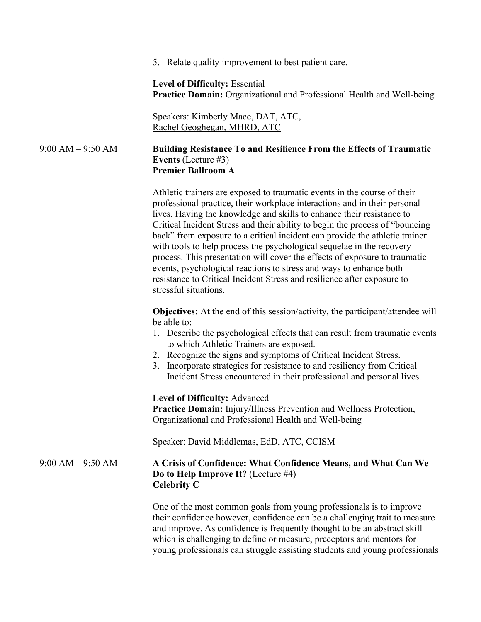5. Relate quality improvement to best patient care.

**Level of Difficulty:** Essential **Practice Domain:** Organizational and Professional Health and Well-being

Speakers: Kimberly Mace, DAT, ATC, Rachel Geoghegan, MHRD, ATC

9:00 AM – 9:50 AM **Building Resistance To and Resilience From the Effects of Traumatic Events** (Lecture #3) **Premier Ballroom A**

> Athletic trainers are exposed to traumatic events in the course of their professional practice, their workplace interactions and in their personal lives. Having the knowledge and skills to enhance their resistance to Critical Incident Stress and their ability to begin the process of "bouncing back" from exposure to a critical incident can provide the athletic trainer with tools to help process the psychological sequelae in the recovery process. This presentation will cover the effects of exposure to traumatic events, psychological reactions to stress and ways to enhance both resistance to Critical Incident Stress and resilience after exposure to stressful situations.

**Objectives:** At the end of this session/activity, the participant/attendee will be able to:

- 1. Describe the psychological effects that can result from traumatic events to which Athletic Trainers are exposed.
- 2. Recognize the signs and symptoms of Critical Incident Stress.
- 3. Incorporate strategies for resistance to and resiliency from Critical Incident Stress encountered in their professional and personal lives.

**Level of Difficulty:** Advanced

**Practice Domain:** Injury/Illness Prevention and Wellness Protection, Organizational and Professional Health and Well-being

Speaker: David Middlemas, EdD, ATC, CCISM

# 9:00 AM – 9:50 AM **A Crisis of Confidence: What Confidence Means, and What Can We Do to Help Improve It?** (Lecture #4) **Celebrity C**

One of the most common goals from young professionals is to improve their confidence however, confidence can be a challenging trait to measure and improve. As confidence is frequently thought to be an abstract skill which is challenging to define or measure, preceptors and mentors for young professionals can struggle assisting students and young professionals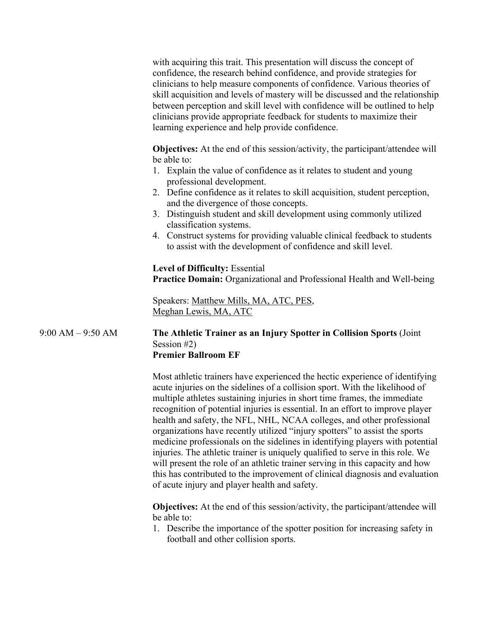with acquiring this trait. This presentation will discuss the concept of confidence, the research behind confidence, and provide strategies for clinicians to help measure components of confidence. Various theories of skill acquisition and levels of mastery will be discussed and the relationship between perception and skill level with confidence will be outlined to help clinicians provide appropriate feedback for students to maximize their learning experience and help provide confidence.

**Objectives:** At the end of this session/activity, the participant/attendee will be able to:

- 1. Explain the value of confidence as it relates to student and young professional development.
- 2. Define confidence as it relates to skill acquisition, student perception, and the divergence of those concepts.
- 3. Distinguish student and skill development using commonly utilized classification systems.
- 4. Construct systems for providing valuable clinical feedback to students to assist with the development of confidence and skill level.

**Level of Difficulty:** Essential **Practice Domain:** Organizational and Professional Health and Well-being

Speakers: Matthew Mills, MA, ATC, PES, Meghan Lewis, MA, ATC

#### 9:00 AM – 9:50 AM **The Athletic Trainer as an Injury Spotter in Collision Sports** (Joint Session #2) **Premier Ballroom EF**

Most athletic trainers have experienced the hectic experience of identifying acute injuries on the sidelines of a collision sport. With the likelihood of multiple athletes sustaining injuries in short time frames, the immediate recognition of potential injuries is essential. In an effort to improve player health and safety, the NFL, NHL, NCAA colleges, and other professional organizations have recently utilized "injury spotters" to assist the sports medicine professionals on the sidelines in identifying players with potential injuries. The athletic trainer is uniquely qualified to serve in this role. We will present the role of an athletic trainer serving in this capacity and how this has contributed to the improvement of clinical diagnosis and evaluation of acute injury and player health and safety.

**Objectives:** At the end of this session/activity, the participant/attendee will be able to:

1. Describe the importance of the spotter position for increasing safety in football and other collision sports.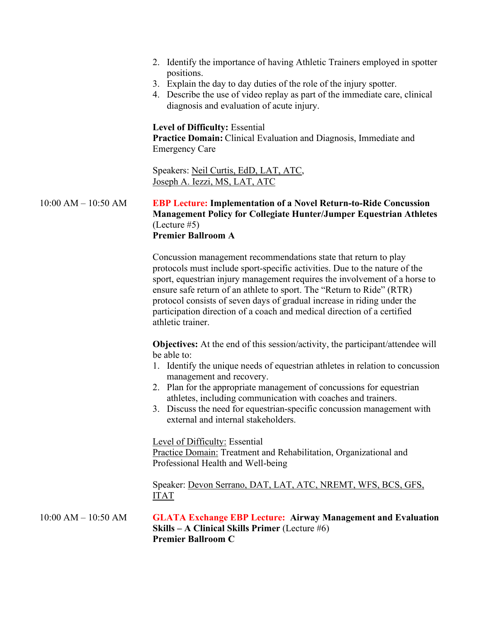- 2. Identify the importance of having Athletic Trainers employed in spotter positions.
- 3. Explain the day to day duties of the role of the injury spotter.
- 4. Describe the use of video replay as part of the immediate care, clinical diagnosis and evaluation of acute injury.

# **Level of Difficulty:** Essential

**Practice Domain:** Clinical Evaluation and Diagnosis, Immediate and Emergency Care

Speakers: Neil Curtis, EdD, LAT, ATC, Joseph A. Iezzi, MS, LAT, ATC

# 10:00 AM – 10:50 AM **EBP Lecture: Implementation of a Novel Return-to-Ride Concussion Management Policy for Collegiate Hunter/Jumper Equestrian Athletes** (Lecture #5) **Premier Ballroom A**

Concussion management recommendations state that return to play protocols must include sport-specific activities. Due to the nature of the sport, equestrian injury management requires the involvement of a horse to ensure safe return of an athlete to sport. The "Return to Ride" (RTR) protocol consists of seven days of gradual increase in riding under the participation direction of a coach and medical direction of a certified athletic trainer.

**Objectives:** At the end of this session/activity, the participant/attendee will be able to:

- 1. Identify the unique needs of equestrian athletes in relation to concussion management and recovery.
- 2. Plan for the appropriate management of concussions for equestrian athletes, including communication with coaches and trainers.
- 3. Discuss the need for equestrian-specific concussion management with external and internal stakeholders.

Level of Difficulty: Essential

Practice Domain: Treatment and Rehabilitation, Organizational and Professional Health and Well-being

Speaker: Devon Serrano, DAT, LAT, ATC, NREMT, WFS, BCS, GFS, ITAT

10:00 AM – 10:50 AM **GLATA Exchange EBP Lecture: Airway Management and Evaluation Skills – A Clinical Skills Primer** (Lecture #6) **Premier Ballroom C**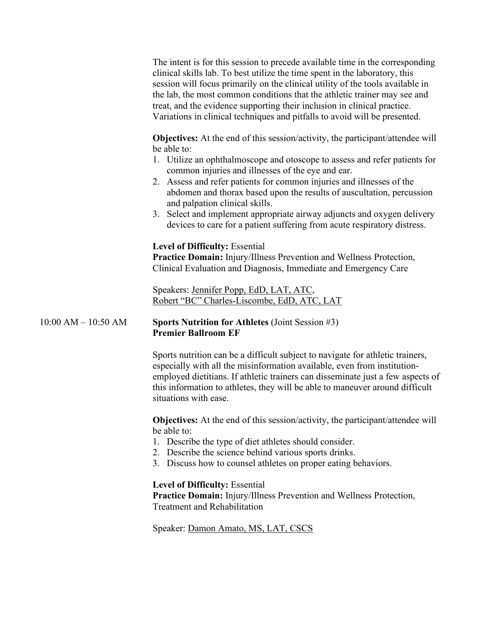The intent is for this session to precede available time in the corresponding clinical skills lab. To best utilize the time spent in the laboratory, this session will focus primarily on the clinical utility of the tools available in the lab, the most common conditions that the athletic trainer may see and treat, and the evidence supporting their inclusion in clinical practice. Variations in clinical techniques and pitfalls to avoid will be presented.

**Objectives:** At the end of this session/activity, the participant/attendee will be able to:

- 1. Utilize an ophthalmoscope and otoscope to assess and refer patients for common injuries and illnesses of the eye and ear.
- 2. Assess and refer patients for common injuries and illnesses of the abdomen and thorax based upon the results of auscultation, percussion and palpation clinical skills.
- 3. Select and implement appropriate airway adjuncts and oxygen delivery devices to care for a patient suffering from acute respiratory distress.

### **Level of Difficulty:** Essential

**Practice Domain:** Injury/Illness Prevention and Wellness Protection, Clinical Evaluation and Diagnosis, Immediate and Emergency Care

Speakers: Jennifer Popp, EdD, LAT, ATC, Robert "BC" Charles-Liscombe, EdD, ATC, LAT

### 10:00 AM – 10:50 AM **Sports Nutrition for Athletes** (Joint Session #3) **Premier Ballroom EF**

Sports nutrition can be a difficult subject to navigate for athletic trainers, especially with all the misinformation available, even from institutionemployed dietitians. If athletic trainers can disseminate just a few aspects of this information to athletes, they will be able to maneuver around difficult situations with ease.

**Objectives:** At the end of this session/activity, the participant/attendee will be able to:

- 1. Describe the type of diet athletes should consider.
- 2. Describe the science behind various sports drinks.
- 3. Discuss how to counsel athletes on proper eating behaviors.

#### **Level of Difficulty:** Essential

**Practice Domain:** Injury/Illness Prevention and Wellness Protection, Treatment and Rehabilitation

Speaker: Damon Amato, MS, LAT, CSCS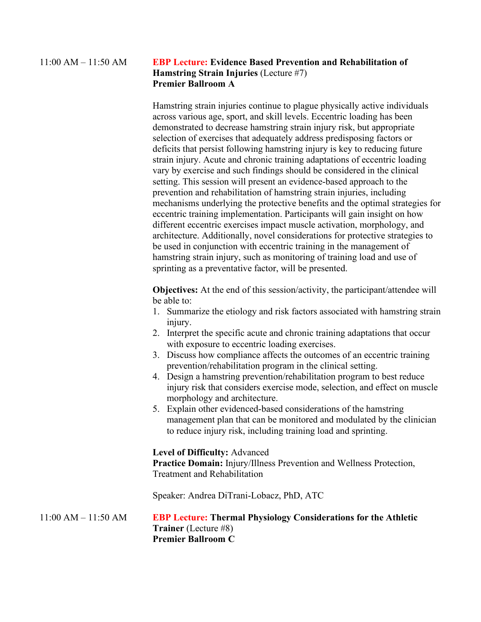# 11:00 AM – 11:50 AM **EBP Lecture: Evidence Based Prevention and Rehabilitation of Hamstring Strain Injuries** (Lecture #7) **Premier Ballroom A**

Hamstring strain injuries continue to plague physically active individuals across various age, sport, and skill levels. Eccentric loading has been demonstrated to decrease hamstring strain injury risk, but appropriate selection of exercises that adequately address predisposing factors or deficits that persist following hamstring injury is key to reducing future strain injury. Acute and chronic training adaptations of eccentric loading vary by exercise and such findings should be considered in the clinical setting. This session will present an evidence-based approach to the prevention and rehabilitation of hamstring strain injuries, including mechanisms underlying the protective benefits and the optimal strategies for eccentric training implementation. Participants will gain insight on how different eccentric exercises impact muscle activation, morphology, and architecture. Additionally, novel considerations for protective strategies to be used in conjunction with eccentric training in the management of hamstring strain injury, such as monitoring of training load and use of sprinting as a preventative factor, will be presented.

**Objectives:** At the end of this session/activity, the participant/attendee will be able to:

- 1. Summarize the etiology and risk factors associated with hamstring strain injury.
- 2. Interpret the specific acute and chronic training adaptations that occur with exposure to eccentric loading exercises.
- 3. Discuss how compliance affects the outcomes of an eccentric training prevention/rehabilitation program in the clinical setting.
- 4. Design a hamstring prevention/rehabilitation program to best reduce injury risk that considers exercise mode, selection, and effect on muscle morphology and architecture.
- 5. Explain other evidenced-based considerations of the hamstring management plan that can be monitored and modulated by the clinician to reduce injury risk, including training load and sprinting.

#### **Level of Difficulty:** Advanced

**Practice Domain:** Injury/Illness Prevention and Wellness Protection, Treatment and Rehabilitation

Speaker: Andrea DiTrani-Lobacz, PhD, ATC

11:00 AM – 11:50 AM **EBP Lecture: Thermal Physiology Considerations for the Athletic Trainer** (Lecture #8) **Premier Ballroom C**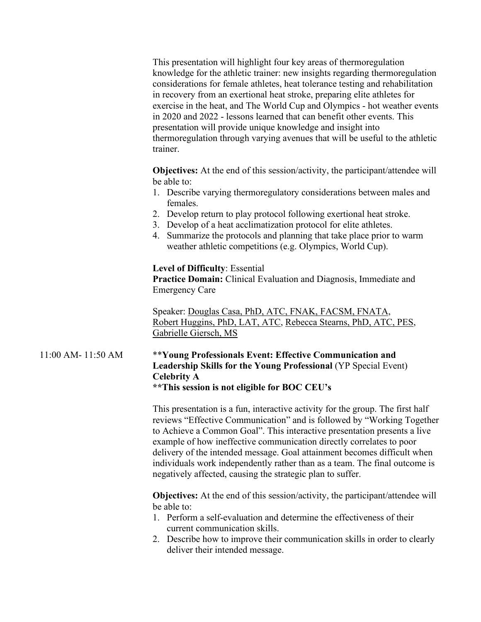This presentation will highlight four key areas of thermoregulation knowledge for the athletic trainer: new insights regarding thermoregulation considerations for female athletes, heat tolerance testing and rehabilitation in recovery from an exertional heat stroke, preparing elite athletes for exercise in the heat, and The World Cup and Olympics - hot weather events in 2020 and 2022 - lessons learned that can benefit other events. This presentation will provide unique knowledge and insight into thermoregulation through varying avenues that will be useful to the athletic trainer.

**Objectives:** At the end of this session/activity, the participant/attendee will be able to:

- 1. Describe varying thermoregulatory considerations between males and females.
- 2. Develop return to play protocol following exertional heat stroke.
- 3. Develop of a heat acclimatization protocol for elite athletes.
- 4. Summarize the protocols and planning that take place prior to warm weather athletic competitions (e.g. Olympics, World Cup).

# **Level of Difficulty**: Essential

**Practice Domain:** Clinical Evaluation and Diagnosis, Immediate and Emergency Care

Speaker: Douglas Casa, PhD, ATC, FNAK, FACSM, FNATA, Robert Huggins, PhD, LAT, ATC, Rebecca Stearns, PhD, ATC, PES, Gabrielle Giersch, MS

# 11:00 AM- 11:50 AM \*\***Young Professionals Event: Effective Communication and Leadership Skills for the Young Professional** (YP Special Event) **Celebrity A**

**\*\*This session is not eligible for BOC CEU's**

This presentation is a fun, interactive activity for the group. The first half reviews "Effective Communication" and is followed by "Working Together to Achieve a Common Goal". This interactive presentation presents a live example of how ineffective communication directly correlates to poor delivery of the intended message. Goal attainment becomes difficult when individuals work independently rather than as a team. The final outcome is negatively affected, causing the strategic plan to suffer.

**Objectives:** At the end of this session/activity, the participant/attendee will be able to:

- 1. Perform a self-evaluation and determine the effectiveness of their current communication skills.
- 2. Describe how to improve their communication skills in order to clearly deliver their intended message.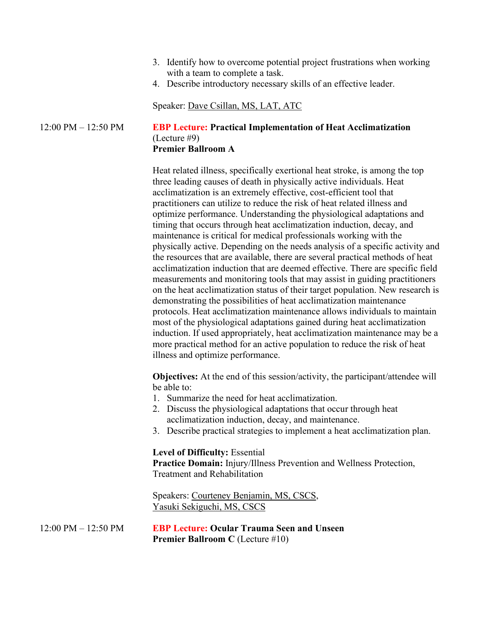- 3. Identify how to overcome potential project frustrations when working with a team to complete a task.
- 4. Describe introductory necessary skills of an effective leader.

Speaker: Dave Csillan, MS, LAT, ATC

## 12:00 PM – 12:50 PM **EBP Lecture: Practical Implementation of Heat Acclimatization** (Lecture #9) **Premier Ballroom A**

Heat related illness, specifically exertional heat stroke, is among the top three leading causes of death in physically active individuals. Heat acclimatization is an extremely effective, cost-efficient tool that practitioners can utilize to reduce the risk of heat related illness and optimize performance. Understanding the physiological adaptations and timing that occurs through heat acclimatization induction, decay, and maintenance is critical for medical professionals working with the physically active. Depending on the needs analysis of a specific activity and the resources that are available, there are several practical methods of heat acclimatization induction that are deemed effective. There are specific field measurements and monitoring tools that may assist in guiding practitioners on the heat acclimatization status of their target population. New research is demonstrating the possibilities of heat acclimatization maintenance protocols. Heat acclimatization maintenance allows individuals to maintain most of the physiological adaptations gained during heat acclimatization induction. If used appropriately, heat acclimatization maintenance may be a more practical method for an active population to reduce the risk of heat illness and optimize performance.

**Objectives:** At the end of this session/activity, the participant/attendee will be able to:

- 1. Summarize the need for heat acclimatization.
- 2. Discuss the physiological adaptations that occur through heat acclimatization induction, decay, and maintenance.
- 3. Describe practical strategies to implement a heat acclimatization plan.

#### **Level of Difficulty:** Essential

**Practice Domain:** Injury/Illness Prevention and Wellness Protection, Treatment and Rehabilitation

Speakers: Courteney Benjamin, MS, CSCS, Yasuki Sekiguchi, MS, CSCS

12:00 PM – 12:50 PM **EBP Lecture: Ocular Trauma Seen and Unseen Premier Ballroom C** (Lecture #10)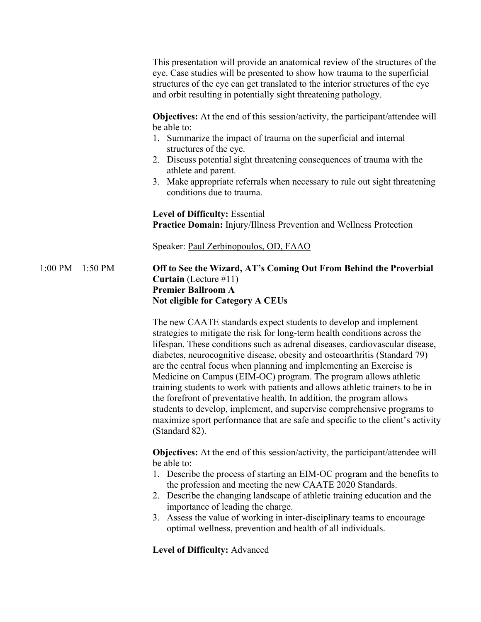|                       | This presentation will provide an anatomical review of the structures of the<br>eye. Case studies will be presented to show how trauma to the superficial<br>structures of the eye can get translated to the interior structures of the eye<br>and orbit resulting in potentially sight threatening pathology.                                                                                                                                                                                                                                                                                                                                                                                                                                                                                   |
|-----------------------|--------------------------------------------------------------------------------------------------------------------------------------------------------------------------------------------------------------------------------------------------------------------------------------------------------------------------------------------------------------------------------------------------------------------------------------------------------------------------------------------------------------------------------------------------------------------------------------------------------------------------------------------------------------------------------------------------------------------------------------------------------------------------------------------------|
|                       | <b>Objectives:</b> At the end of this session/activity, the participant/attendee will<br>be able to:<br>1. Summarize the impact of trauma on the superficial and internal<br>structures of the eye.<br>2. Discuss potential sight threatening consequences of trauma with the<br>athlete and parent.<br>3. Make appropriate referrals when necessary to rule out sight threatening<br>conditions due to trauma.                                                                                                                                                                                                                                                                                                                                                                                  |
|                       | <b>Level of Difficulty: Essential</b><br><b>Practice Domain:</b> Injury/Illness Prevention and Wellness Protection                                                                                                                                                                                                                                                                                                                                                                                                                                                                                                                                                                                                                                                                               |
|                       | Speaker: Paul Zerbinopoulos, OD, FAAO                                                                                                                                                                                                                                                                                                                                                                                                                                                                                                                                                                                                                                                                                                                                                            |
| $1:00$ PM $- 1:50$ PM | Off to See the Wizard, AT's Coming Out From Behind the Proverbial<br><b>Curtain</b> (Lecture $\#11$ )<br><b>Premier Ballroom A</b><br><b>Not eligible for Category A CEUs</b>                                                                                                                                                                                                                                                                                                                                                                                                                                                                                                                                                                                                                    |
|                       | The new CAATE standards expect students to develop and implement<br>strategies to mitigate the risk for long-term health conditions across the<br>lifespan. These conditions such as adrenal diseases, cardiovascular disease,<br>diabetes, neurocognitive disease, obesity and osteoarthritis (Standard 79)<br>are the central focus when planning and implementing an Exercise is<br>Medicine on Campus (EIM-OC) program. The program allows athletic<br>training students to work with patients and allows athletic trainers to be in<br>the forefront of preventative health. In addition, the program allows<br>students to develop, implement, and supervise comprehensive programs to<br>maximize sport performance that are safe and specific to the client's activity<br>(Standard 82). |
|                       | <b>Objectives:</b> At the end of this session/activity, the participant/attendee will<br>be able to:<br>1. Describe the process of starting an EIM-OC program and the benefits to<br>the profession and meeting the new CAATE 2020 Standards.<br>2. Describe the changing landscape of athletic training education and the<br>importance of leading the charge.<br>3. Assess the value of working in inter-disciplinary teams to encourage<br>optimal wellness, prevention and health of all individuals.                                                                                                                                                                                                                                                                                        |
|                       | <b>Level of Difficulty: Advanced</b>                                                                                                                                                                                                                                                                                                                                                                                                                                                                                                                                                                                                                                                                                                                                                             |
|                       |                                                                                                                                                                                                                                                                                                                                                                                                                                                                                                                                                                                                                                                                                                                                                                                                  |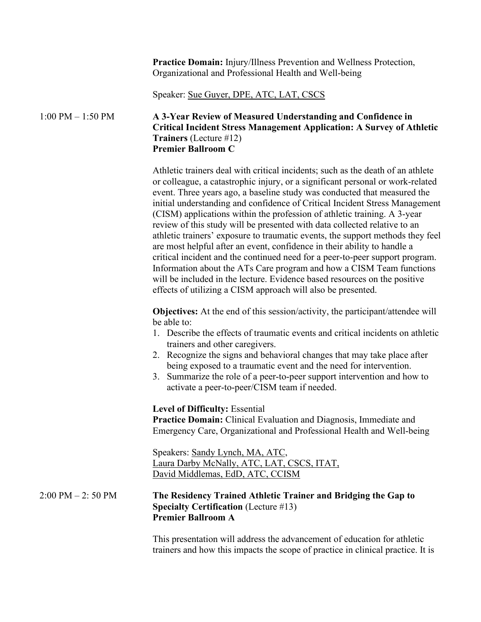**Practice Domain:** Injury/Illness Prevention and Wellness Protection, Organizational and Professional Health and Well-being

Speaker: Sue Guyer, DPE, ATC, LAT, CSCS

# 1:00 PM – 1:50 PM **A 3-Year Review of Measured Understanding and Confidence in Critical Incident Stress Management Application: A Survey of Athletic Trainers** (Lecture #12) **Premier Ballroom C**

Athletic trainers deal with critical incidents; such as the death of an athlete or colleague, a catastrophic injury, or a significant personal or work-related event. Three years ago, a baseline study was conducted that measured the initial understanding and confidence of Critical Incident Stress Management (CISM) applications within the profession of athletic training. A 3-year review of this study will be presented with data collected relative to an athletic trainers' exposure to traumatic events, the support methods they feel are most helpful after an event, confidence in their ability to handle a critical incident and the continued need for a peer-to-peer support program. Information about the ATs Care program and how a CISM Team functions will be included in the lecture. Evidence based resources on the positive effects of utilizing a CISM approach will also be presented.

**Objectives:** At the end of this session/activity, the participant/attendee will be able to:

- 1. Describe the effects of traumatic events and critical incidents on athletic trainers and other caregivers.
- 2. Recognize the signs and behavioral changes that may take place after being exposed to a traumatic event and the need for intervention.
- 3. Summarize the role of a peer-to-peer support intervention and how to activate a peer-to-peer/CISM team if needed.

#### **Level of Difficulty:** Essential

**Practice Domain:** Clinical Evaluation and Diagnosis, Immediate and Emergency Care, Organizational and Professional Health and Well-being

Speakers: Sandy Lynch, MA, ATC, Laura Darby McNally, ATC, LAT, CSCS, ITAT, David Middlemas, EdD, ATC, CCISM

# 2:00 PM – 2: 50 PM **The Residency Trained Athletic Trainer and Bridging the Gap to Specialty Certification** (Lecture #13) **Premier Ballroom A**

This presentation will address the advancement of education for athletic trainers and how this impacts the scope of practice in clinical practice. It is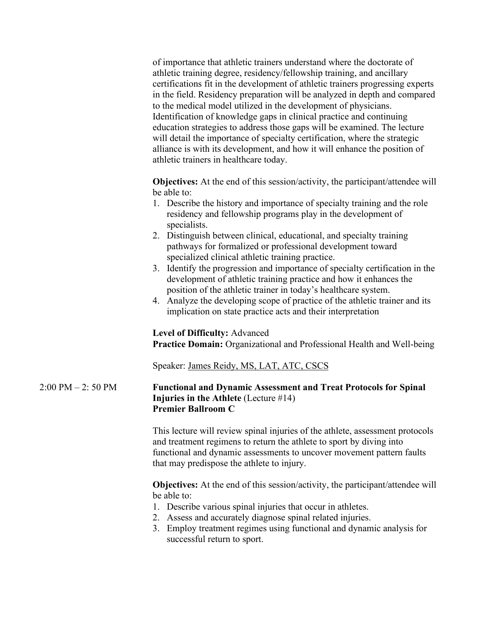of importance that athletic trainers understand where the doctorate of athletic training degree, residency/fellowship training, and ancillary certifications fit in the development of athletic trainers progressing experts in the field. Residency preparation will be analyzed in depth and compared to the medical model utilized in the development of physicians. Identification of knowledge gaps in clinical practice and continuing education strategies to address those gaps will be examined. The lecture will detail the importance of specialty certification, where the strategic alliance is with its development, and how it will enhance the position of athletic trainers in healthcare today.

**Objectives:** At the end of this session/activity, the participant/attendee will be able to:

- 1. Describe the history and importance of specialty training and the role residency and fellowship programs play in the development of specialists.
- 2. Distinguish between clinical, educational, and specialty training pathways for formalized or professional development toward specialized clinical athletic training practice.
- 3. Identify the progression and importance of specialty certification in the development of athletic training practice and how it enhances the position of the athletic trainer in today's healthcare system.
- 4. Analyze the developing scope of practice of the athletic trainer and its implication on state practice acts and their interpretation

# **Level of Difficulty:** Advanced

**Practice Domain:** Organizational and Professional Health and Well-being

Speaker: James Reidy, MS, LAT, ATC, CSCS

# 2:00 PM – 2: 50 PM **Functional and Dynamic Assessment and Treat Protocols for Spinal Injuries in the Athlete** (Lecture #14) **Premier Ballroom C**

This lecture will review spinal injuries of the athlete, assessment protocols and treatment regimens to return the athlete to sport by diving into functional and dynamic assessments to uncover movement pattern faults that may predispose the athlete to injury.

**Objectives:** At the end of this session/activity, the participant/attendee will be able to:

- 1. Describe various spinal injuries that occur in athletes.
- 2. Assess and accurately diagnose spinal related injuries.
- 3. Employ treatment regimes using functional and dynamic analysis for successful return to sport.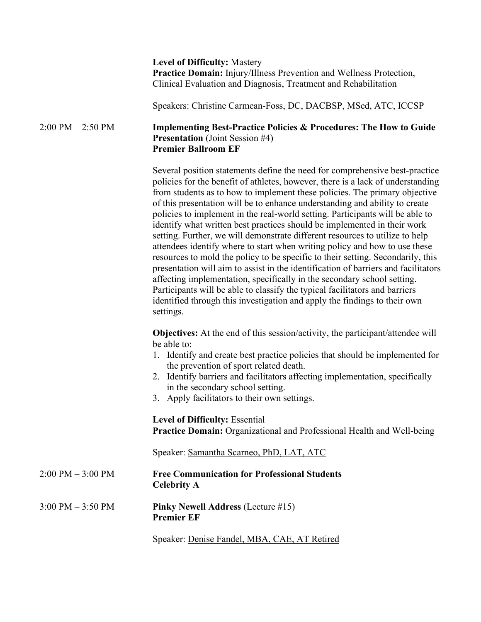**Level of Difficulty:** Mastery **Practice Domain:** Injury/Illness Prevention and Wellness Protection, Clinical Evaluation and Diagnosis, Treatment and Rehabilitation

Speakers: Christine Carmean-Foss, DC, DACBSP, MSed, ATC, ICCSP

## 2:00 PM – 2:50 PM **Implementing Best-Practice Policies & Procedures: The How to Guide Presentation** (Joint Session #4) **Premier Ballroom EF**

Several position statements define the need for comprehensive best-practice policies for the benefit of athletes, however, there is a lack of understanding from students as to how to implement these policies. The primary objective of this presentation will be to enhance understanding and ability to create policies to implement in the real-world setting. Participants will be able to identify what written best practices should be implemented in their work setting. Further, we will demonstrate different resources to utilize to help attendees identify where to start when writing policy and how to use these resources to mold the policy to be specific to their setting. Secondarily, this presentation will aim to assist in the identification of barriers and facilitators affecting implementation, specifically in the secondary school setting. Participants will be able to classify the typical facilitators and barriers identified through this investigation and apply the findings to their own settings.

**Objectives:** At the end of this session/activity, the participant/attendee will be able to:

- 1. Identify and create best practice policies that should be implemented for the prevention of sport related death.
- 2. Identify barriers and facilitators affecting implementation, specifically in the secondary school setting.
- 3. Apply facilitators to their own settings.

**Level of Difficulty:** Essential **Practice Domain:** Organizational and Professional Health and Well-being

Speaker: Samantha Scarneo, PhD, LAT, ATC

- 2:00 PM 3:00 PM **Free Communication for Professional Students Celebrity A**
- 3:00 PM 3:50 PM **Pinky Newell Address** (Lecture #15) **Premier EF**

Speaker: Denise Fandel, MBA, CAE, AT Retired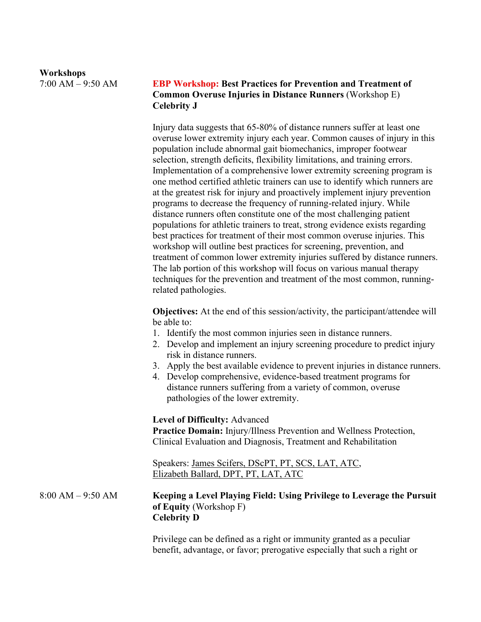#### **Workshops**

# 7:00 AM – 9:50 AM **EBP Workshop: Best Practices for Prevention and Treatment of Common Overuse Injuries in Distance Runners** (Workshop E) **Celebrity J**

Injury data suggests that 65-80% of distance runners suffer at least one overuse lower extremity injury each year. Common causes of injury in this population include abnormal gait biomechanics, improper footwear selection, strength deficits, flexibility limitations, and training errors. Implementation of a comprehensive lower extremity screening program is one method certified athletic trainers can use to identify which runners are at the greatest risk for injury and proactively implement injury prevention programs to decrease the frequency of running-related injury. While distance runners often constitute one of the most challenging patient populations for athletic trainers to treat, strong evidence exists regarding best practices for treatment of their most common overuse injuries. This workshop will outline best practices for screening, prevention, and treatment of common lower extremity injuries suffered by distance runners. The lab portion of this workshop will focus on various manual therapy techniques for the prevention and treatment of the most common, runningrelated pathologies.

**Objectives:** At the end of this session/activity, the participant/attendee will be able to:

- 1. Identify the most common injuries seen in distance runners.
- 2. Develop and implement an injury screening procedure to predict injury risk in distance runners.
- 3. Apply the best available evidence to prevent injuries in distance runners.
- 4. Develop comprehensive, evidence-based treatment programs for distance runners suffering from a variety of common, overuse pathologies of the lower extremity.

**Level of Difficulty:** Advanced

**Practice Domain:** Injury/Illness Prevention and Wellness Protection, Clinical Evaluation and Diagnosis, Treatment and Rehabilitation

Speakers: James Scifers, DScPT, PT, SCS, LAT, ATC, Elizabeth Ballard, DPT, PT, LAT, ATC

# 8:00 AM – 9:50 AM **Keeping a Level Playing Field: Using Privilege to Leverage the Pursuit of Equity** (Workshop F) **Celebrity D**

Privilege can be defined as a right or immunity granted as a peculiar benefit, advantage, or favor; prerogative especially that such a right or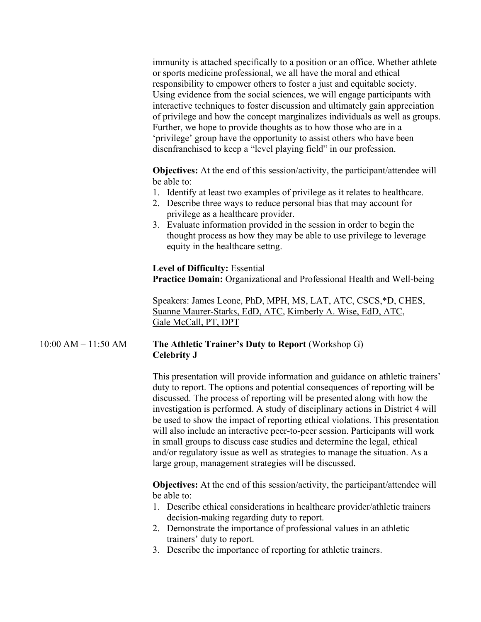immunity is attached specifically to a position or an office. Whether athlete or sports medicine professional, we all have the moral and ethical responsibility to empower others to foster a just and equitable society. Using evidence from the social sciences, we will engage participants with interactive techniques to foster discussion and ultimately gain appreciation of privilege and how the concept marginalizes individuals as well as groups. Further, we hope to provide thoughts as to how those who are in a 'privilege' group have the opportunity to assist others who have been disenfranchised to keep a "level playing field" in our profession.

**Objectives:** At the end of this session/activity, the participant/attendee will be able to:

- 1. Identify at least two examples of privilege as it relates to healthcare.
- 2. Describe three ways to reduce personal bias that may account for privilege as a healthcare provider.
- 3. Evaluate information provided in the session in order to begin the thought process as how they may be able to use privilege to leverage equity in the healthcare settng.

**Level of Difficulty:** Essential

**Practice Domain:** Organizational and Professional Health and Well-being

Speakers: James Leone, PhD, MPH, MS, LAT, ATC, CSCS,\*D, CHES, Suanne Maurer-Starks, EdD, ATC, Kimberly A. Wise, EdD, ATC, Gale McCall, PT, DPT

# 10:00 AM – 11:50 AM **The Athletic Trainer's Duty to Report** (Workshop G) **Celebrity J**

This presentation will provide information and guidance on athletic trainers' duty to report. The options and potential consequences of reporting will be discussed. The process of reporting will be presented along with how the investigation is performed. A study of disciplinary actions in District 4 will be used to show the impact of reporting ethical violations. This presentation will also include an interactive peer-to-peer session. Participants will work in small groups to discuss case studies and determine the legal, ethical and/or regulatory issue as well as strategies to manage the situation. As a large group, management strategies will be discussed.

**Objectives:** At the end of this session/activity, the participant/attendee will be able to:

- 1. Describe ethical considerations in healthcare provider/athletic trainers decision-making regarding duty to report.
- 2. Demonstrate the importance of professional values in an athletic trainers' duty to report.
- 3. Describe the importance of reporting for athletic trainers.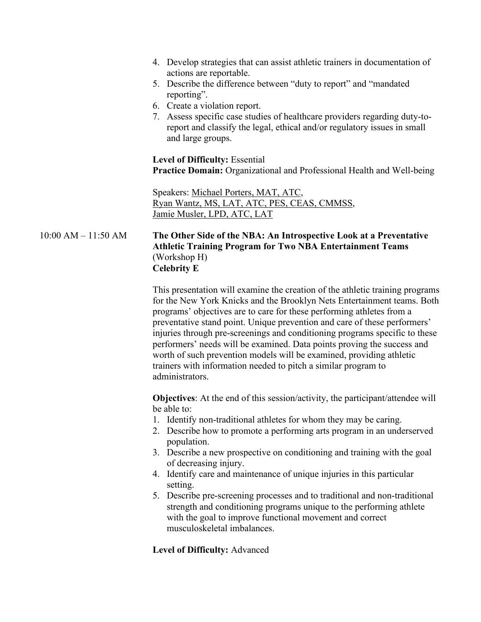- 4. Develop strategies that can assist athletic trainers in documentation of actions are reportable.
- 5. Describe the difference between "duty to report" and "mandated reporting".
- 6. Create a violation report.
- 7. Assess specific case studies of healthcare providers regarding duty-toreport and classify the legal, ethical and/or regulatory issues in small and large groups.

**Level of Difficulty:** Essential **Practice Domain:** Organizational and Professional Health and Well-being

Speakers: Michael Porters, MAT, ATC, Ryan Wantz, MS, LAT, ATC, PES, CEAS, CMMSS, Jamie Musler, LPD, ATC, LAT

10:00 AM – 11:50 AM **The Other Side of the NBA: An Introspective Look at a Preventative Athletic Training Program for Two NBA Entertainment Teams** (Workshop H) **Celebrity E**

> This presentation will examine the creation of the athletic training programs for the New York Knicks and the Brooklyn Nets Entertainment teams. Both programs' objectives are to care for these performing athletes from a preventative stand point. Unique prevention and care of these performers' injuries through pre-screenings and conditioning programs specific to these performers' needs will be examined. Data points proving the success and worth of such prevention models will be examined, providing athletic trainers with information needed to pitch a similar program to administrators.

**Objectives:** At the end of this session/activity, the participant/attendee will be able to:

- 1. Identify non-traditional athletes for whom they may be caring.
- 2. Describe how to promote a performing arts program in an underserved population.
- 3. Describe a new prospective on conditioning and training with the goal of decreasing injury.
- 4. Identify care and maintenance of unique injuries in this particular setting.
- 5. Describe pre-screening processes and to traditional and non-traditional strength and conditioning programs unique to the performing athlete with the goal to improve functional movement and correct musculoskeletal imbalances.

### **Level of Difficulty:** Advanced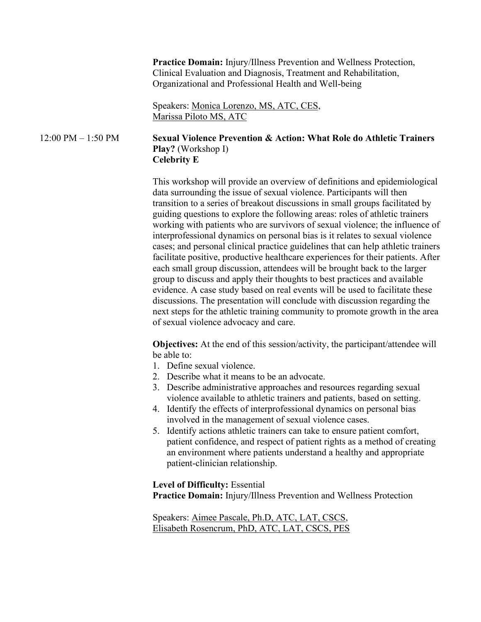**Practice Domain:** Injury/Illness Prevention and Wellness Protection, Clinical Evaluation and Diagnosis, Treatment and Rehabilitation, Organizational and Professional Health and Well-being

Speakers: Monica Lorenzo, MS, ATC, CES, Marissa Piloto MS, ATC

## 12:00 PM – 1:50 PM **Sexual Violence Prevention & Action: What Role do Athletic Trainers Play?** (Workshop I) **Celebrity E**

This workshop will provide an overview of definitions and epidemiological data surrounding the issue of sexual violence. Participants will then transition to a series of breakout discussions in small groups facilitated by guiding questions to explore the following areas: roles of athletic trainers working with patients who are survivors of sexual violence; the influence of interprofessional dynamics on personal bias is it relates to sexual violence cases; and personal clinical practice guidelines that can help athletic trainers facilitate positive, productive healthcare experiences for their patients. After each small group discussion, attendees will be brought back to the larger group to discuss and apply their thoughts to best practices and available evidence. A case study based on real events will be used to facilitate these discussions. The presentation will conclude with discussion regarding the next steps for the athletic training community to promote growth in the area of sexual violence advocacy and care.

**Objectives:** At the end of this session/activity, the participant/attendee will be able to:

- 1. Define sexual violence.
- 2. Describe what it means to be an advocate.
- 3. Describe administrative approaches and resources regarding sexual violence available to athletic trainers and patients, based on setting.
- 4. Identify the effects of interprofessional dynamics on personal bias involved in the management of sexual violence cases.
- 5. Identify actions athletic trainers can take to ensure patient comfort, patient confidence, and respect of patient rights as a method of creating an environment where patients understand a healthy and appropriate patient-clinician relationship.

**Level of Difficulty:** Essential **Practice Domain:** Injury/Illness Prevention and Wellness Protection

Speakers: Aimee Pascale, Ph.D, ATC, LAT, CSCS, Elisabeth Rosencrum, PhD, ATC, LAT, CSCS, PES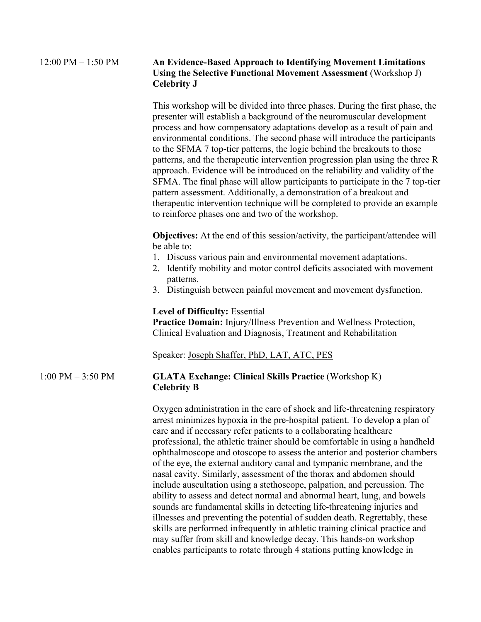#### 12:00 PM – 1:50 PM **An Evidence-Based Approach to Identifying Movement Limitations Using the Selective Functional Movement Assessment** (Workshop J) **Celebrity J**

This workshop will be divided into three phases. During the first phase, the presenter will establish a background of the neuromuscular development process and how compensatory adaptations develop as a result of pain and environmental conditions. The second phase will introduce the participants to the SFMA 7 top-tier patterns, the logic behind the breakouts to those patterns, and the therapeutic intervention progression plan using the three R approach. Evidence will be introduced on the reliability and validity of the SFMA. The final phase will allow participants to participate in the 7 top-tier pattern assessment. Additionally, a demonstration of a breakout and therapeutic intervention technique will be completed to provide an example to reinforce phases one and two of the workshop.

**Objectives:** At the end of this session/activity, the participant/attendee will be able to:

- 1. Discuss various pain and environmental movement adaptations.
- 2. Identify mobility and motor control deficits associated with movement patterns.
- 3. Distinguish between painful movement and movement dysfunction.

#### **Level of Difficulty:** Essential

**Practice Domain:** Injury/Illness Prevention and Wellness Protection, Clinical Evaluation and Diagnosis, Treatment and Rehabilitation

Speaker: Joseph Shaffer, PhD, LAT, ATC, PES

# 1:00 PM – 3:50 PM **GLATA Exchange: Clinical Skills Practice** (Workshop K) **Celebrity B**

Oxygen administration in the care of shock and life-threatening respiratory arrest minimizes hypoxia in the pre-hospital patient. To develop a plan of care and if necessary refer patients to a collaborating healthcare professional, the athletic trainer should be comfortable in using a handheld ophthalmoscope and otoscope to assess the anterior and posterior chambers of the eye, the external auditory canal and tympanic membrane, and the nasal cavity. Similarly, assessment of the thorax and abdomen should include auscultation using a stethoscope, palpation, and percussion. The ability to assess and detect normal and abnormal heart, lung, and bowels sounds are fundamental skills in detecting life-threatening injuries and illnesses and preventing the potential of sudden death. Regrettably, these skills are performed infrequently in athletic training clinical practice and may suffer from skill and knowledge decay. This hands-on workshop enables participants to rotate through 4 stations putting knowledge in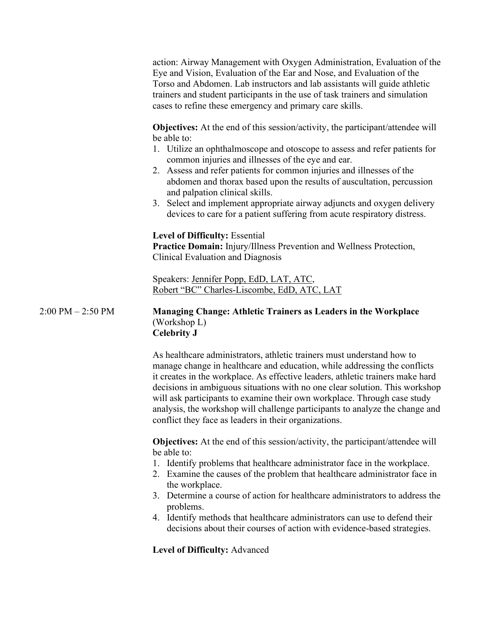action: Airway Management with Oxygen Administration, Evaluation of the Eye and Vision, Evaluation of the Ear and Nose, and Evaluation of the Torso and Abdomen. Lab instructors and lab assistants will guide athletic trainers and student participants in the use of task trainers and simulation cases to refine these emergency and primary care skills.

**Objectives:** At the end of this session/activity, the participant/attendee will be able to:

- 1. Utilize an ophthalmoscope and otoscope to assess and refer patients for common injuries and illnesses of the eye and ear.
- 2. Assess and refer patients for common injuries and illnesses of the abdomen and thorax based upon the results of auscultation, percussion and palpation clinical skills.
- 3. Select and implement appropriate airway adjuncts and oxygen delivery devices to care for a patient suffering from acute respiratory distress.

# **Level of Difficulty:** Essential

**Practice Domain:** Injury/Illness Prevention and Wellness Protection, Clinical Evaluation and Diagnosis

Speakers: Jennifer Popp, EdD, LAT, ATC, Robert "BC" Charles-Liscombe, EdD, ATC, LAT

# 2:00 PM – 2:50 PM **Managing Change: Athletic Trainers as Leaders in the Workplace** (Workshop L) **Celebrity J**

As healthcare administrators, athletic trainers must understand how to manage change in healthcare and education, while addressing the conflicts it creates in the workplace. As effective leaders, athletic trainers make hard decisions in ambiguous situations with no one clear solution. This workshop will ask participants to examine their own workplace. Through case study analysis, the workshop will challenge participants to analyze the change and conflict they face as leaders in their organizations.

**Objectives:** At the end of this session/activity, the participant/attendee will be able to:

- 1. Identify problems that healthcare administrator face in the workplace.
- 2. Examine the causes of the problem that healthcare administrator face in the workplace.
- 3. Determine a course of action for healthcare administrators to address the problems.
- 4. Identify methods that healthcare administrators can use to defend their decisions about their courses of action with evidence-based strategies.

**Level of Difficulty:** Advanced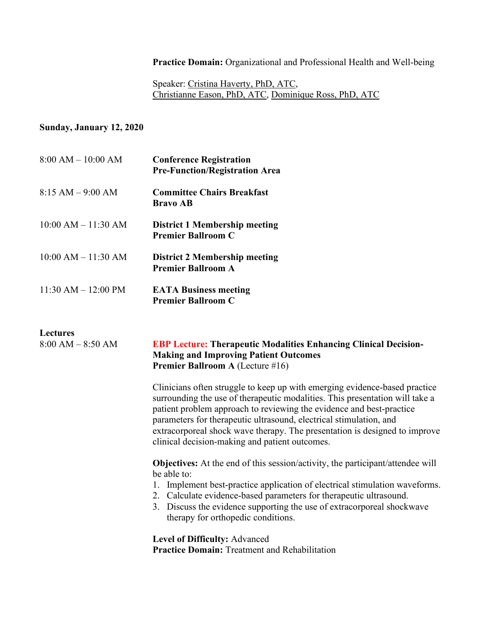**Practice Domain:** Organizational and Professional Health and Well-being

Speaker: Cristina Haverty, PhD, ATC, Christianne Eason, PhD, ATC, Dominique Ross, PhD, ATC

# **Sunday, January 12, 2020**

| $8:00 AM - 10:00 AM$    | <b>Conference Registration</b><br><b>Pre-Function/Registration Area</b> |
|-------------------------|-------------------------------------------------------------------------|
| $8:15 AM - 9:00 AM$     | <b>Committee Chairs Breakfast</b><br><b>Bravo AB</b>                    |
| $10:00$ AM $- 11:30$ AM | <b>District 1 Membership meeting</b><br><b>Premier Ballroom C</b>       |
| $10:00$ AM $- 11:30$ AM | District 2 Membership meeting<br><b>Premier Ballroom A</b>              |
| $11:30 AM - 12:00 PM$   | <b>EATA Business meeting</b><br><b>Premier Ballroom C</b>               |

# **L**<sub>8</sub>

| Lectures<br>$8:00 AM - 8:50 AM$ | <b>EBP Lecture: Therapeutic Modalities Enhancing Clinical Decision-</b><br><b>Making and Improving Patient Outcomes</b><br><b>Premier Ballroom A (Lecture #16)</b>                                                                                                                                                                                                                                                                       |
|---------------------------------|------------------------------------------------------------------------------------------------------------------------------------------------------------------------------------------------------------------------------------------------------------------------------------------------------------------------------------------------------------------------------------------------------------------------------------------|
|                                 | Clinicians often struggle to keep up with emerging evidence-based practice<br>surrounding the use of therapeutic modalities. This presentation will take a<br>patient problem approach to reviewing the evidence and best-practice<br>parameters for therapeutic ultrasound, electrical stimulation, and<br>extracorporeal shock wave therapy. The presentation is designed to improve<br>clinical decision-making and patient outcomes. |
|                                 | <b>Objectives:</b> At the end of this session/activity, the participant/attendee will<br>be able to:<br>1. Implement best-practice application of electrical stimulation waveforms.<br>2. Calculate evidence-based parameters for therapeutic ultrasound.<br>3. Discuss the evidence supporting the use of extracorporeal shockwave<br>therapy for orthopedic conditions.                                                                |
|                                 | <b>Level of Difficulty: Advanced</b><br><b>Practice Domain:</b> Treatment and Rehabilitation                                                                                                                                                                                                                                                                                                                                             |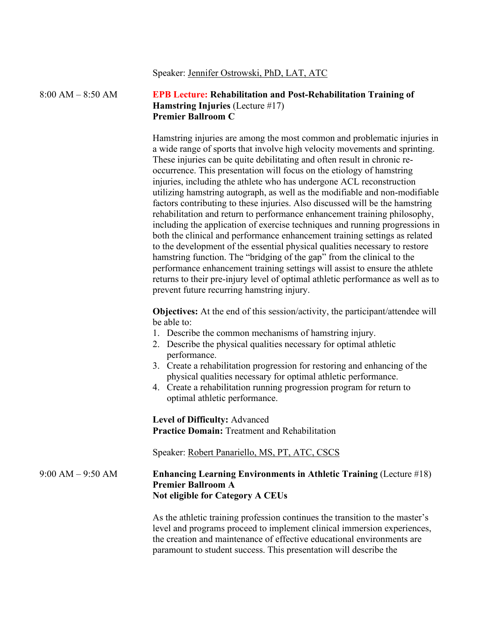#### Speaker: Jennifer Ostrowski, PhD, LAT, ATC

# 8:00 AM – 8:50 AM **EPB Lecture: Rehabilitation and Post-Rehabilitation Training of Hamstring Injuries** (Lecture #17) **Premier Ballroom C**

Hamstring injuries are among the most common and problematic injuries in a wide range of sports that involve high velocity movements and sprinting. These injuries can be quite debilitating and often result in chronic reoccurrence. This presentation will focus on the etiology of hamstring injuries, including the athlete who has undergone ACL reconstruction utilizing hamstring autograph, as well as the modifiable and non-modifiable factors contributing to these injuries. Also discussed will be the hamstring rehabilitation and return to performance enhancement training philosophy, including the application of exercise techniques and running progressions in both the clinical and performance enhancement training settings as related to the development of the essential physical qualities necessary to restore hamstring function. The "bridging of the gap" from the clinical to the performance enhancement training settings will assist to ensure the athlete returns to their pre-injury level of optimal athletic performance as well as to prevent future recurring hamstring injury.

**Objectives:** At the end of this session/activity, the participant/attendee will be able to:

- 1. Describe the common mechanisms of hamstring injury.
- 2. Describe the physical qualities necessary for optimal athletic performance.
- 3. Create a rehabilitation progression for restoring and enhancing of the physical qualities necessary for optimal athletic performance.
- 4. Create a rehabilitation running progression program for return to optimal athletic performance.

**Level of Difficulty:** Advanced **Practice Domain:** Treatment and Rehabilitation

Speaker: Robert Panariello, MS, PT, ATC, CSCS

# 9:00 AM – 9:50 AM **Enhancing Learning Environments in Athletic Training** (Lecture #18) **Premier Ballroom A Not eligible for Category A CEUs**

As the athletic training profession continues the transition to the master's level and programs proceed to implement clinical immersion experiences, the creation and maintenance of effective educational environments are paramount to student success. This presentation will describe the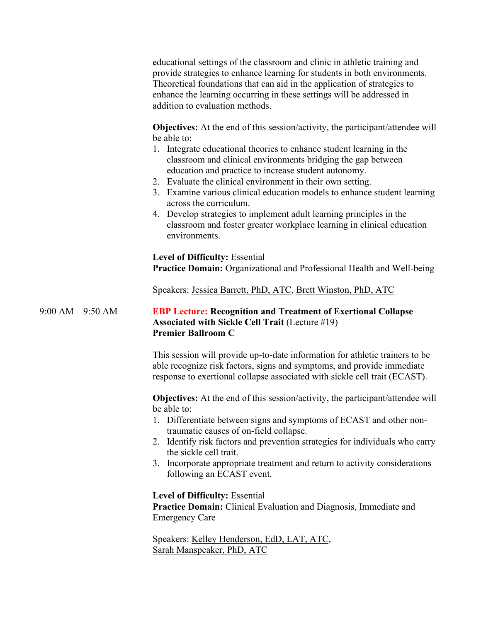educational settings of the classroom and clinic in athletic training and provide strategies to enhance learning for students in both environments. Theoretical foundations that can aid in the application of strategies to enhance the learning occurring in these settings will be addressed in addition to evaluation methods.

**Objectives:** At the end of this session/activity, the participant/attendee will be able to:

- 1. Integrate educational theories to enhance student learning in the classroom and clinical environments bridging the gap between education and practice to increase student autonomy.
- 2. Evaluate the clinical environment in their own setting.
- 3. Examine various clinical education models to enhance student learning across the curriculum.
- 4. Develop strategies to implement adult learning principles in the classroom and foster greater workplace learning in clinical education environments.

**Level of Difficulty:** Essential **Practice Domain:** Organizational and Professional Health and Well-being

Speakers: Jessica Barrett, PhD, ATC, Brett Winston, PhD, ATC

# 9:00 AM – 9:50 AM **EBP Lecture: Recognition and Treatment of Exertional Collapse Associated with Sickle Cell Trait** (Lecture #19) **Premier Ballroom C**

This session will provide up-to-date information for athletic trainers to be able recognize risk factors, signs and symptoms, and provide immediate response to exertional collapse associated with sickle cell trait (ECAST).

**Objectives:** At the end of this session/activity, the participant/attendee will be able to:

- 1. Differentiate between signs and symptoms of ECAST and other nontraumatic causes of on-field collapse.
- 2. Identify risk factors and prevention strategies for individuals who carry the sickle cell trait.
- 3. Incorporate appropriate treatment and return to activity considerations following an ECAST event.

**Level of Difficulty:** Essential **Practice Domain:** Clinical Evaluation and Diagnosis, Immediate and Emergency Care

Speakers: Kelley Henderson, EdD, LAT, ATC, Sarah Manspeaker, PhD, ATC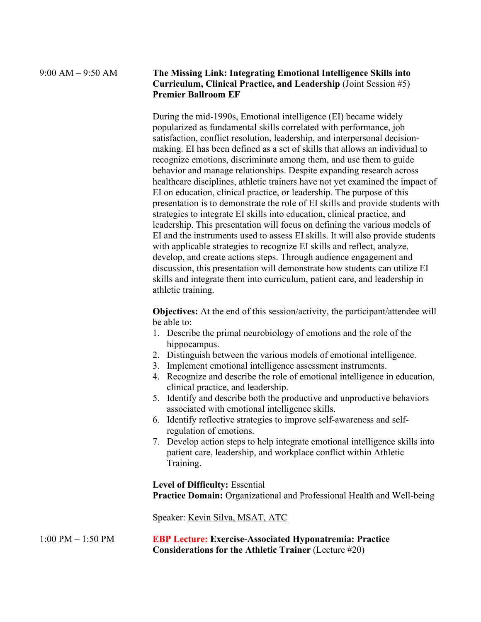#### 9:00 AM – 9:50 AM **The Missing Link: Integrating Emotional Intelligence Skills into Curriculum, Clinical Practice, and Leadership** (Joint Session #5) **Premier Ballroom EF**

During the mid-1990s, Emotional intelligence (EI) became widely popularized as fundamental skills correlated with performance, job satisfaction, conflict resolution, leadership, and interpersonal decisionmaking. EI has been defined as a set of skills that allows an individual to recognize emotions, discriminate among them, and use them to guide behavior and manage relationships. Despite expanding research across healthcare disciplines, athletic trainers have not yet examined the impact of EI on education, clinical practice, or leadership. The purpose of this presentation is to demonstrate the role of EI skills and provide students with strategies to integrate EI skills into education, clinical practice, and leadership. This presentation will focus on defining the various models of EI and the instruments used to assess EI skills. It will also provide students with applicable strategies to recognize EI skills and reflect, analyze, develop, and create actions steps. Through audience engagement and discussion, this presentation will demonstrate how students can utilize EI skills and integrate them into curriculum, patient care, and leadership in athletic training.

**Objectives:** At the end of this session/activity, the participant/attendee will be able to:

- 1. Describe the primal neurobiology of emotions and the role of the hippocampus.
- 2. Distinguish between the various models of emotional intelligence.
- 3. Implement emotional intelligence assessment instruments.
- 4. Recognize and describe the role of emotional intelligence in education, clinical practice, and leadership.
- 5. Identify and describe both the productive and unproductive behaviors associated with emotional intelligence skills.
- 6. Identify reflective strategies to improve self-awareness and selfregulation of emotions.
- 7. Develop action steps to help integrate emotional intelligence skills into patient care, leadership, and workplace conflict within Athletic Training.

**Level of Difficulty:** Essential **Practice Domain:** Organizational and Professional Health and Well-being

Speaker: Kevin Silva, MSAT, ATC

1:00 PM – 1:50 PM **EBP Lecture: Exercise-Associated Hyponatremia: Practice Considerations for the Athletic Trainer** (Lecture #20)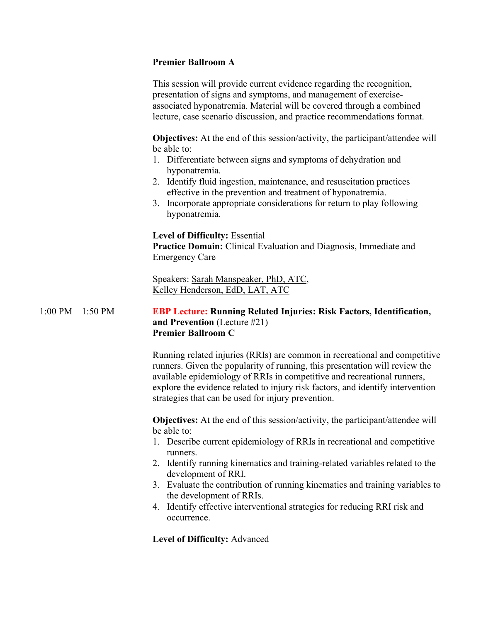# **Premier Ballroom A**

This session will provide current evidence regarding the recognition, presentation of signs and symptoms, and management of exerciseassociated hyponatremia. Material will be covered through a combined lecture, case scenario discussion, and practice recommendations format.

**Objectives:** At the end of this session/activity, the participant/attendee will be able to:

- 1. Differentiate between signs and symptoms of dehydration and hyponatremia.
- 2. Identify fluid ingestion, maintenance, and resuscitation practices effective in the prevention and treatment of hyponatremia.
- 3. Incorporate appropriate considerations for return to play following hyponatremia.

# **Level of Difficulty:** Essential

**Practice Domain:** Clinical Evaluation and Diagnosis, Immediate and Emergency Care

Speakers: Sarah Manspeaker, PhD, ATC, Kelley Henderson, EdD, LAT, ATC

# 1:00 PM – 1:50 PM **EBP Lecture: Running Related Injuries: Risk Factors, Identification, and Prevention** (Lecture #21) **Premier Ballroom C**

Running related injuries (RRIs) are common in recreational and competitive runners. Given the popularity of running, this presentation will review the available epidemiology of RRIs in competitive and recreational runners, explore the evidence related to injury risk factors, and identify intervention strategies that can be used for injury prevention.

**Objectives:** At the end of this session/activity, the participant/attendee will be able to:

- 1. Describe current epidemiology of RRIs in recreational and competitive runners.
- 2. Identify running kinematics and training-related variables related to the development of RRI.
- 3. Evaluate the contribution of running kinematics and training variables to the development of RRIs.
- 4. Identify effective interventional strategies for reducing RRI risk and occurrence.

**Level of Difficulty:** Advanced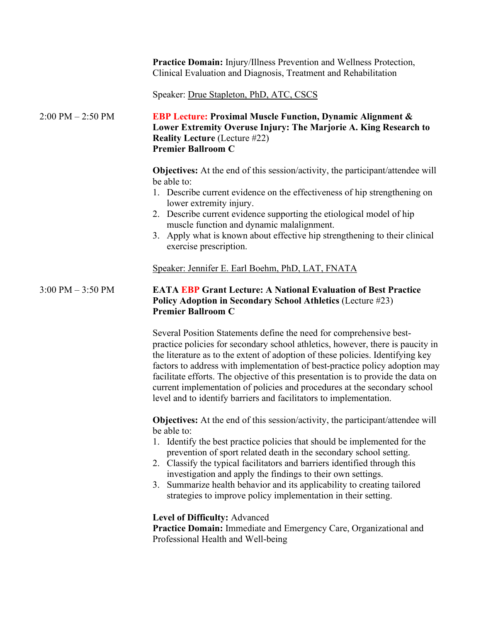|                                     | Practice Domain: Injury/Illness Prevention and Wellness Protection,<br>Clinical Evaluation and Diagnosis, Treatment and Rehabilitation                                                                                                                                                                                                                                                                                                                                                                                                                        |
|-------------------------------------|---------------------------------------------------------------------------------------------------------------------------------------------------------------------------------------------------------------------------------------------------------------------------------------------------------------------------------------------------------------------------------------------------------------------------------------------------------------------------------------------------------------------------------------------------------------|
|                                     | Speaker: Drue Stapleton, PhD, ATC, CSCS                                                                                                                                                                                                                                                                                                                                                                                                                                                                                                                       |
| $2:00 \text{ PM} - 2:50 \text{ PM}$ | <b>EBP Lecture: Proximal Muscle Function, Dynamic Alignment &amp;</b><br>Lower Extremity Overuse Injury: The Marjorie A. King Research to<br><b>Reality Lecture (Lecture #22)</b><br><b>Premier Ballroom C</b>                                                                                                                                                                                                                                                                                                                                                |
|                                     | <b>Objectives:</b> At the end of this session/activity, the participant/attendee will<br>be able to:<br>1. Describe current evidence on the effectiveness of hip strengthening on<br>lower extremity injury.<br>2. Describe current evidence supporting the etiological model of hip<br>muscle function and dynamic malalignment.<br>3. Apply what is known about effective hip strengthening to their clinical<br>exercise prescription.                                                                                                                     |
|                                     | Speaker: Jennifer E. Earl Boehm, PhD, LAT, FNATA                                                                                                                                                                                                                                                                                                                                                                                                                                                                                                              |
| $3:00$ PM $-3:50$ PM                | <b>EATA EBP Grant Lecture: A National Evaluation of Best Practice</b><br>Policy Adoption in Secondary School Athletics (Lecture #23)<br><b>Premier Ballroom C</b>                                                                                                                                                                                                                                                                                                                                                                                             |
|                                     | Several Position Statements define the need for comprehensive best-<br>practice policies for secondary school athletics, however, there is paucity in<br>the literature as to the extent of adoption of these policies. Identifying key<br>factors to address with implementation of best-practice policy adoption may<br>facilitate efforts. The objective of this presentation is to provide the data on<br>current implementation of policies and procedures at the secondary school<br>level and to identify barriers and facilitators to implementation. |
|                                     | <b>Objectives:</b> At the end of this session/activity, the participant/attendee will<br>be able to:<br>1. Identify the best practice policies that should be implemented for the<br>prevention of sport related death in the secondary school setting.<br>2. Classify the typical facilitators and barriers identified through this<br>investigation and apply the findings to their own settings.<br>3. Summarize health behavior and its applicability to creating tailored<br>strategies to improve policy implementation in their setting.               |
|                                     | Level of Difficulty: Advanced<br>Practice Domain: Immediate and Emergency Care, Organizational and<br>Professional Health and Well-being                                                                                                                                                                                                                                                                                                                                                                                                                      |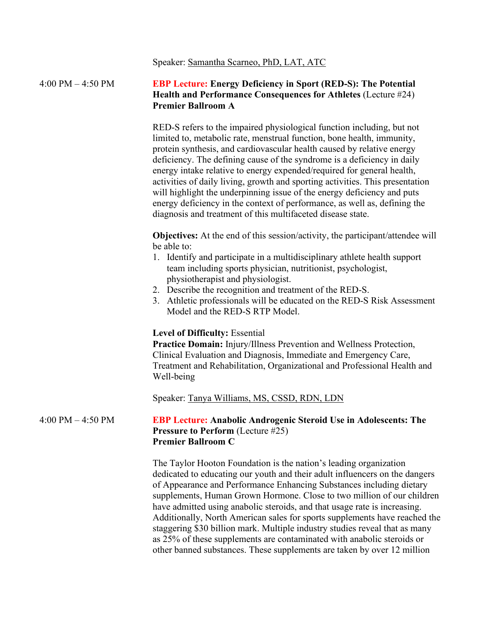Speaker: Samantha Scarneo, PhD, LAT, ATC

#### 4:00 PM – 4:50 PM **EBP Lecture: Energy Deficiency in Sport (RED-S): The Potential Health and Performance Consequences for Athletes** (Lecture #24) **Premier Ballroom A**

RED-S refers to the impaired physiological function including, but not limited to, metabolic rate, menstrual function, bone health, immunity, protein synthesis, and cardiovascular health caused by relative energy deficiency. The defining cause of the syndrome is a deficiency in daily energy intake relative to energy expended/required for general health, activities of daily living, growth and sporting activities. This presentation will highlight the underpinning issue of the energy deficiency and puts energy deficiency in the context of performance, as well as, defining the diagnosis and treatment of this multifaceted disease state.

**Objectives:** At the end of this session/activity, the participant/attendee will be able to:

- 1. Identify and participate in a multidisciplinary athlete health support team including sports physician, nutritionist, psychologist, physiotherapist and physiologist.
- 2. Describe the recognition and treatment of the RED-S.
- 3. Athletic professionals will be educated on the RED-S Risk Assessment Model and the RED-S RTP Model.

#### **Level of Difficulty:** Essential

**Practice Domain:** Injury/Illness Prevention and Wellness Protection, Clinical Evaluation and Diagnosis, Immediate and Emergency Care, Treatment and Rehabilitation, Organizational and Professional Health and Well-being

Speaker: Tanya Williams, MS, CSSD, RDN, LDN

#### 4:00 PM – 4:50 PM **EBP Lecture: Anabolic Androgenic Steroid Use in Adolescents: The Pressure to Perform** (Lecture #25) **Premier Ballroom C**

The Taylor Hooton Foundation is the nation's leading organization dedicated to educating our youth and their adult influencers on the dangers of Appearance and Performance Enhancing Substances including dietary supplements, Human Grown Hormone. Close to two million of our children have admitted using anabolic steroids, and that usage rate is increasing. Additionally, North American sales for sports supplements have reached the staggering \$30 billion mark. Multiple industry studies reveal that as many as 25% of these supplements are contaminated with anabolic steroids or other banned substances. These supplements are taken by over 12 million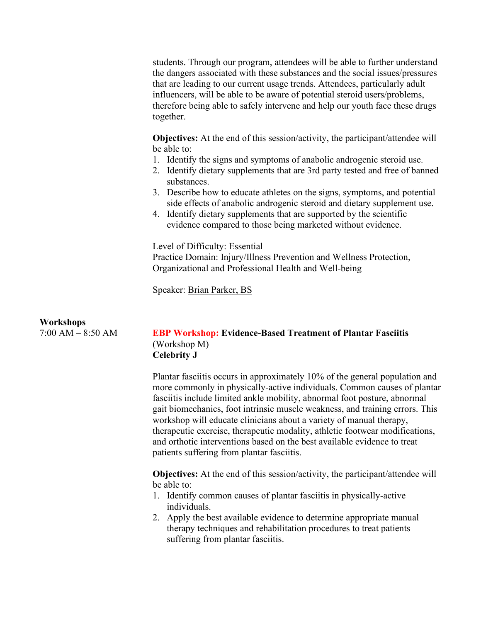students. Through our program, attendees will be able to further understand the dangers associated with these substances and the social issues/pressures that are leading to our current usage trends. Attendees, particularly adult influencers, will be able to be aware of potential steroid users/problems, therefore being able to safely intervene and help our youth face these drugs together.

**Objectives:** At the end of this session/activity, the participant/attendee will be able to:

- 1. Identify the signs and symptoms of anabolic androgenic steroid use.
- 2. Identify dietary supplements that are 3rd party tested and free of banned substances.
- 3. Describe how to educate athletes on the signs, symptoms, and potential side effects of anabolic androgenic steroid and dietary supplement use.
- 4. Identify dietary supplements that are supported by the scientific evidence compared to those being marketed without evidence.

Level of Difficulty: Essential

Practice Domain: Injury/Illness Prevention and Wellness Protection, Organizational and Professional Health and Well-being

Speaker: Brian Parker, BS

### **Workshops**

# 7:00 AM – 8:50 AM **EBP Workshop: Evidence-Based Treatment of Plantar Fasciitis** (Workshop M) **Celebrity J**

Plantar fasciitis occurs in approximately 10% of the general population and more commonly in physically-active individuals. Common causes of plantar fasciitis include limited ankle mobility, abnormal foot posture, abnormal gait biomechanics, foot intrinsic muscle weakness, and training errors. This workshop will educate clinicians about a variety of manual therapy, therapeutic exercise, therapeutic modality, athletic footwear modifications, and orthotic interventions based on the best available evidence to treat patients suffering from plantar fasciitis.

**Objectives:** At the end of this session/activity, the participant/attendee will be able to:

- 1. Identify common causes of plantar fasciitis in physically-active individuals.
- 2. Apply the best available evidence to determine appropriate manual therapy techniques and rehabilitation procedures to treat patients suffering from plantar fasciitis.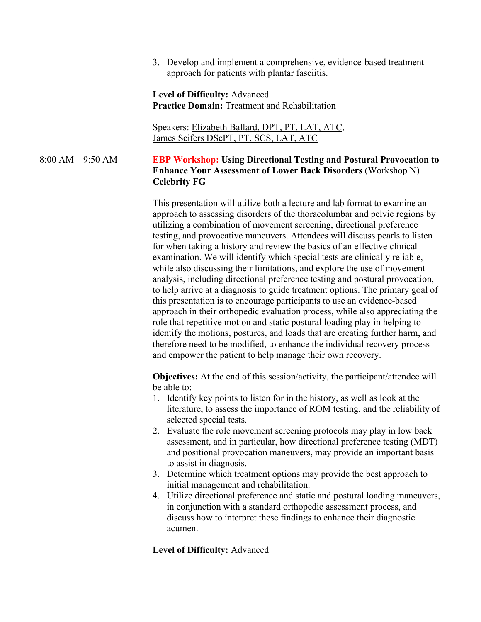3. Develop and implement a comprehensive, evidence-based treatment approach for patients with plantar fasciitis.

**Level of Difficulty:** Advanced **Practice Domain:** Treatment and Rehabilitation

Speakers: Elizabeth Ballard, DPT, PT, LAT, ATC, James Scifers DScPT, PT, SCS, LAT, ATC

# 8:00 AM – 9:50 AM **EBP Workshop: Using Directional Testing and Postural Provocation to Enhance Your Assessment of Lower Back Disorders** (Workshop N) **Celebrity FG**

This presentation will utilize both a lecture and lab format to examine an approach to assessing disorders of the thoracolumbar and pelvic regions by utilizing a combination of movement screening, directional preference testing, and provocative maneuvers. Attendees will discuss pearls to listen for when taking a history and review the basics of an effective clinical examination. We will identify which special tests are clinically reliable, while also discussing their limitations, and explore the use of movement analysis, including directional preference testing and postural provocation, to help arrive at a diagnosis to guide treatment options. The primary goal of this presentation is to encourage participants to use an evidence-based approach in their orthopedic evaluation process, while also appreciating the role that repetitive motion and static postural loading play in helping to identify the motions, postures, and loads that are creating further harm, and therefore need to be modified, to enhance the individual recovery process and empower the patient to help manage their own recovery.

**Objectives:** At the end of this session/activity, the participant/attendee will be able to:

- 1. Identify key points to listen for in the history, as well as look at the literature, to assess the importance of ROM testing, and the reliability of selected special tests.
- 2. Evaluate the role movement screening protocols may play in low back assessment, and in particular, how directional preference testing (MDT) and positional provocation maneuvers, may provide an important basis to assist in diagnosis.
- 3. Determine which treatment options may provide the best approach to initial management and rehabilitation.
- 4. Utilize directional preference and static and postural loading maneuvers, in conjunction with a standard orthopedic assessment process, and discuss how to interpret these findings to enhance their diagnostic acumen.

### **Level of Difficulty:** Advanced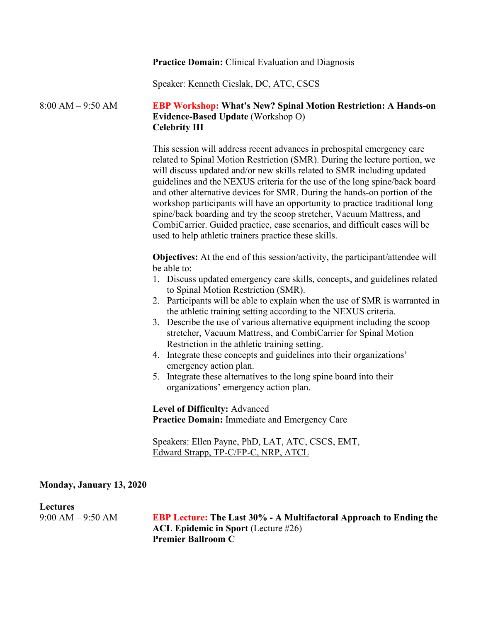#### **Practice Domain:** Clinical Evaluation and Diagnosis

Speaker: Kenneth Cieslak, DC, ATC, CSCS

# 8:00 AM – 9:50 AM **EBP Workshop: What's New? Spinal Motion Restriction: A Hands-on Evidence-Based Update** (Workshop O) **Celebrity HI**

This session will address recent advances in prehospital emergency care related to Spinal Motion Restriction (SMR). During the lecture portion, we will discuss updated and/or new skills related to SMR including updated guidelines and the NEXUS criteria for the use of the long spine/back board and other alternative devices for SMR. During the hands-on portion of the workshop participants will have an opportunity to practice traditional long spine/back boarding and try the scoop stretcher, Vacuum Mattress, and CombiCarrier. Guided practice, case scenarios, and difficult cases will be used to help athletic trainers practice these skills.

**Objectives:** At the end of this session/activity, the participant/attendee will be able to:

- 1. Discuss updated emergency care skills, concepts, and guidelines related to Spinal Motion Restriction (SMR).
- 2. Participants will be able to explain when the use of SMR is warranted in the athletic training setting according to the NEXUS criteria.
- 3. Describe the use of various alternative equipment including the scoop stretcher, Vacuum Mattress, and CombiCarrier for Spinal Motion Restriction in the athletic training setting.
- 4. Integrate these concepts and guidelines into their organizations' emergency action plan.
- 5. Integrate these alternatives to the long spine board into their organizations' emergency action plan.

**Level of Difficulty:** Advanced **Practice Domain:** Immediate and Emergency Care

Speakers: Ellen Payne, PhD, LAT, ATC, CSCS, EMT, Edward Strapp, TP-C/FP-C, NRP, ATCL

#### **Monday, January 13, 2020**

#### **Lectures**

9:00 AM – 9:50 AM **EBP Lecture: The Last 30% - A Multifactoral Approach to Ending the ACL Epidemic in Sport** (Lecture #26) **Premier Ballroom C**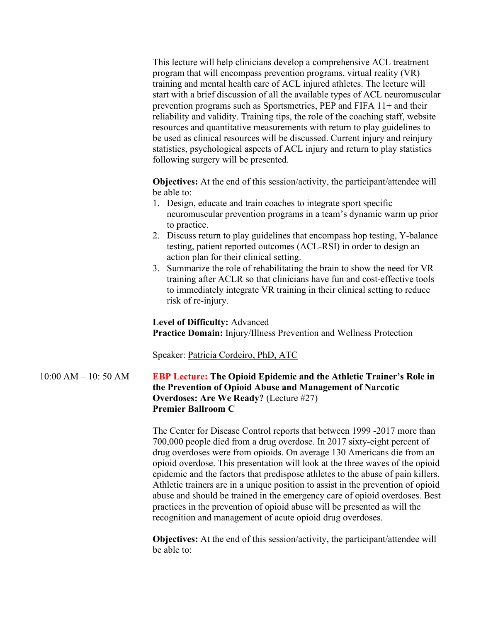This lecture will help clinicians develop a comprehensive ACL treatment program that will encompass prevention programs, virtual reality (VR) training and mental health care of ACL injured athletes. The lecture will start with a brief discussion of all the available types of ACL neuromuscular prevention programs such as Sportsmetrics, PEP and FIFA 11+ and their reliability and validity. Training tips, the role of the coaching staff, website resources and quantitative measurements with return to play guidelines to be used as clinical resources will be discussed. Current injury and reinjury statistics, psychological aspects of ACL injury and return to play statistics following surgery will be presented.

**Objectives:** At the end of this session/activity, the participant/attendee will be able to:

- 1. Design, educate and train coaches to integrate sport specific neuromuscular prevention programs in a team's dynamic warm up prior to practice.
- 2. Discuss return to play guidelines that encompass hop testing, Y-balance testing, patient reported outcomes (ACL-RSI) in order to design an action plan for their clinical setting.
- 3. Summarize the role of rehabilitating the brain to show the need for VR training after ACLR so that clinicians have fun and cost-effective tools to immediately integrate VR training in their clinical setting to reduce risk of re-injury.

**Level of Difficulty:** Advanced **Practice Domain:** Injury/Illness Prevention and Wellness Protection

Speaker: Patricia Cordeiro, PhD, ATC

10:00 AM – 10: 50 AM **EBP Lecture: The Opioid Epidemic and the Athletic Trainer's Role in the Prevention of Opioid Abuse and Management of Narcotic Overdoses: Are We Ready?** (Lecture #27) **Premier Ballroom C**

> The Center for Disease Control reports that between 1999 -2017 more than 700,000 people died from a drug overdose. In 2017 sixty-eight percent of drug overdoses were from opioids. On average 130 Americans die from an opioid overdose. This presentation will look at the three waves of the opioid epidemic and the factors that predispose athletes to the abuse of pain killers. Athletic trainers are in a unique position to assist in the prevention of opioid abuse and should be trained in the emergency care of opioid overdoses. Best practices in the prevention of opioid abuse will be presented as will the recognition and management of acute opioid drug overdoses.

**Objectives:** At the end of this session/activity, the participant/attendee will be able to: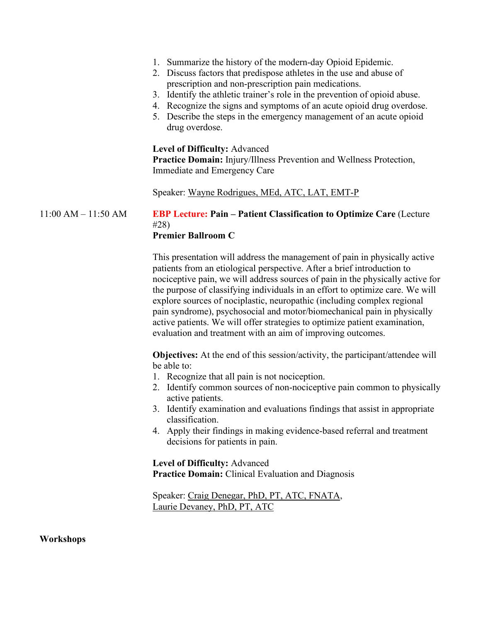|                         | 1. Summarize the history of the modern-day Opioid Epidemic.<br>2. Discuss factors that predispose athletes in the use and abuse of<br>prescription and non-prescription pain medications.<br>3. Identify the athletic trainer's role in the prevention of opioid abuse.<br>4. Recognize the signs and symptoms of an acute opioid drug overdose.<br>5. Describe the steps in the emergency management of an acute opioid<br>drug overdose.                                                                                                                                                                                                          |
|-------------------------|-----------------------------------------------------------------------------------------------------------------------------------------------------------------------------------------------------------------------------------------------------------------------------------------------------------------------------------------------------------------------------------------------------------------------------------------------------------------------------------------------------------------------------------------------------------------------------------------------------------------------------------------------------|
|                         | <b>Level of Difficulty: Advanced</b><br>Practice Domain: Injury/Illness Prevention and Wellness Protection,<br>Immediate and Emergency Care                                                                                                                                                                                                                                                                                                                                                                                                                                                                                                         |
|                         | Speaker: Wayne Rodrigues, MEd, ATC, LAT, EMT-P                                                                                                                                                                                                                                                                                                                                                                                                                                                                                                                                                                                                      |
| $11:00$ AM $- 11:50$ AM | <b>EBP Lecture: Pain – Patient Classification to Optimize Care (Lecture</b><br>#28)<br><b>Premier Ballroom C</b>                                                                                                                                                                                                                                                                                                                                                                                                                                                                                                                                    |
|                         | This presentation will address the management of pain in physically active<br>patients from an etiological perspective. After a brief introduction to<br>nociceptive pain, we will address sources of pain in the physically active for<br>the purpose of classifying individuals in an effort to optimize care. We will<br>explore sources of nociplastic, neuropathic (including complex regional<br>pain syndrome), psychosocial and motor/biomechanical pain in physically<br>active patients. We will offer strategies to optimize patient examination,<br>evaluation and treatment with an aim of improving outcomes.                         |
|                         | <b>Objectives:</b> At the end of this session/activity, the participant/attendee will<br>be able to:<br>1. Recognize that all pain is not nociception.<br>2. Identify common sources of non-nociceptive pain common to physically<br>active patients.<br>3. Identify examination and evaluations findings that assist in appropriate<br>classification.<br>4. Apply their findings in making evidence-based referral and treatment<br>decisions for patients in pain.<br>Level of Difficulty: Advanced<br><b>Practice Domain:</b> Clinical Evaluation and Diagnosis<br>Speaker: Craig Denegar, PhD, PT, ATC, FNATA,<br>Laurie Devaney, PhD, PT, ATC |
|                         |                                                                                                                                                                                                                                                                                                                                                                                                                                                                                                                                                                                                                                                     |

**Workshops**